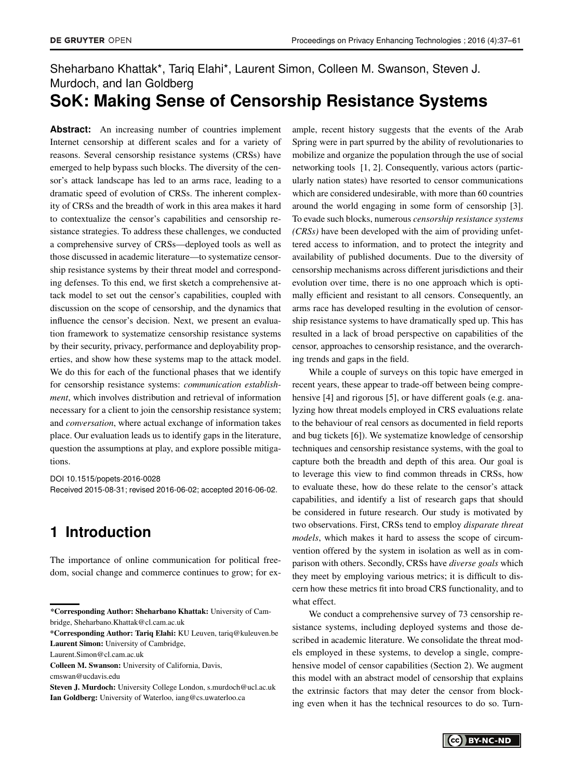## Sheharbano Khattak\*, Tariq Elahi\*, Laurent Simon, Colleen M. Swanson, Steven J. Murdoch, and Ian Goldberg **SoK: Making Sense of Censorship Resistance Systems**

**Abstract:** An increasing number of countries implement Internet censorship at different scales and for a variety of reasons. Several censorship resistance systems (CRSs) have emerged to help bypass such blocks. The diversity of the censor's attack landscape has led to an arms race, leading to a dramatic speed of evolution of CRSs. The inherent complexity of CRSs and the breadth of work in this area makes it hard to contextualize the censor's capabilities and censorship resistance strategies. To address these challenges, we conducted a comprehensive survey of CRSs—deployed tools as well as those discussed in academic literature—to systematize censorship resistance systems by their threat model and corresponding defenses. To this end, we first sketch a comprehensive attack model to set out the censor's capabilities, coupled with discussion on the scope of censorship, and the dynamics that influence the censor's decision. Next, we present an evaluation framework to systematize censorship resistance systems by their security, privacy, performance and deployability properties, and show how these systems map to the attack model. We do this for each of the functional phases that we identify for censorship resistance systems: *communication establishment*, which involves distribution and retrieval of information necessary for a client to join the censorship resistance system; and *conversation*, where actual exchange of information takes place. Our evaluation leads us to identify gaps in the literature, question the assumptions at play, and explore possible mitigations.

DOI 10.1515/popets-2016-0028

Received 2015-08-31; revised 2016-06-02; accepted 2016-06-02.

## **1 Introduction**

The importance of online communication for political freedom, social change and commerce continues to grow; for ex-

\*Corresponding Author: Tariq Elahi: KU Leuven, tariq@kuleuven.be Laurent Simon: University of Cambridge,

Laurent.Simon@cl.cam.ac.uk

ample, recent history suggests that the events of the Arab Spring were in part spurred by the ability of revolutionaries to mobilize and organize the population through the use of social networking tools [\[1,](#page-20-0) [2\]](#page-20-1). Consequently, various actors (particularly nation states) have resorted to censor communications which are considered undesirable, with more than 60 countries around the world engaging in some form of censorship [\[3\]](#page-20-2). To evade such blocks, numerous *censorship resistance systems (CRSs)* have been developed with the aim of providing unfettered access to information, and to protect the integrity and availability of published documents. Due to the diversity of censorship mechanisms across different jurisdictions and their evolution over time, there is no one approach which is optimally efficient and resistant to all censors. Consequently, an arms race has developed resulting in the evolution of censorship resistance systems to have dramatically sped up. This has resulted in a lack of broad perspective on capabilities of the censor, approaches to censorship resistance, and the overarching trends and gaps in the field.

While a couple of surveys on this topic have emerged in recent years, these appear to trade-off between being compre-hensive [\[4\]](#page-20-3) and rigorous [\[5\]](#page-20-4), or have different goals (e.g. analyzing how threat models employed in CRS evaluations relate to the behaviour of real censors as documented in field reports and bug tickets [\[6\]](#page-20-5)). We systematize knowledge of censorship techniques and censorship resistance systems, with the goal to capture both the breadth and depth of this area. Our goal is to leverage this view to find common threads in CRSs, how to evaluate these, how do these relate to the censor's attack capabilities, and identify a list of research gaps that should be considered in future research. Our study is motivated by two observations. First, CRSs tend to employ *disparate threat models*, which makes it hard to assess the scope of circumvention offered by the system in isolation as well as in comparison with others. Secondly, CRSs have *diverse goals* which they meet by employing various metrics; it is difficult to discern how these metrics fit into broad CRS functionality, and to what effect.

We conduct a comprehensive survey of 73 censorship resistance systems, including deployed systems and those described in academic literature. We consolidate the threat models employed in these systems, to develop a single, comprehensive model of censor capabilities (Section [2\)](#page-1-0). We augment this model with an abstract model of censorship that explains the extrinsic factors that may deter the censor from blocking even when it has the technical resources to do so. Turn-

<sup>\*</sup>Corresponding Author: Sheharbano Khattak: University of Cambridge, Sheharbano.Khattak@cl.cam.ac.uk

Colleen M. Swanson: University of California, Davis,

cmswan@ucdavis.edu

Steven J. Murdoch: University College London, s.murdoch@ucl.ac.uk Ian Goldberg: University of Waterloo, iang@cs.uwaterloo.ca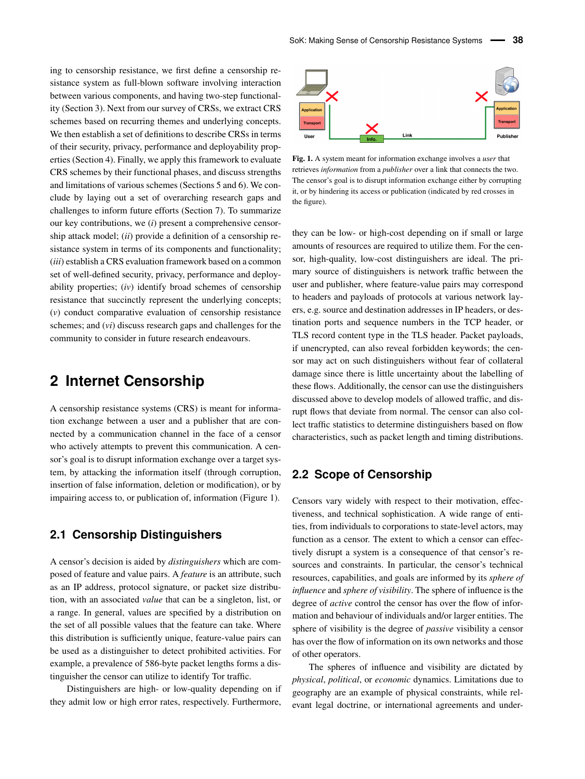ing to censorship resistance, we first define a censorship resistance system as full-blown software involving interaction between various components, and having two-step functionality (Section [3\)](#page-5-0). Next from our survey of CRSs, we extract CRS schemes based on recurring themes and underlying concepts. We then establish a set of definitions to describe CRSs in terms of their security, privacy, performance and deployability properties (Section [4\)](#page-6-0). Finally, we apply this framework to evaluate CRS schemes by their functional phases, and discuss strengths and limitations of various schemes (Sections [5](#page-9-0) and [6\)](#page-13-0). We conclude by laying out a set of overarching research gaps and challenges to inform future efforts (Section [7\)](#page-16-0). To summarize our key contributions, we (*i*) present a comprehensive censorship attack model; (*ii*) provide a definition of a censorship resistance system in terms of its components and functionality; (*iii*) establish a CRS evaluation framework based on a common set of well-defined security, privacy, performance and deployability properties; (*iv*) identify broad schemes of censorship resistance that succinctly represent the underlying concepts; (*v*) conduct comparative evaluation of censorship resistance schemes; and (*vi*) discuss research gaps and challenges for the community to consider in future research endeavours.

## **2 Internet Censorship**

A censorship resistance systems (CRS) is meant for information exchange between a user and a publisher that are connected by a communication channel in the face of a censor who actively attempts to prevent this communication. A censor's goal is to disrupt information exchange over a target system, by attacking the information itself (through corruption, insertion of false information, deletion or modification), or by impairing access to, or publication of, information (Figure [1\)](#page-1-0).

### **2.1 Censorship Distinguishers**

A censor's decision is aided by *distinguishers* which are composed of feature and value pairs. A *feature* is an attribute, such as an IP address, protocol signature, or packet size distribution, with an associated *value* that can be a singleton, list, or a range. In general, values are specified by a distribution on the set of all possible values that the feature can take. Where this distribution is sufficiently unique, feature-value pairs can be used as a distinguisher to detect prohibited activities. For example, a prevalence of 586-byte packet lengths forms a distinguisher the censor can utilize to identify Tor traffic.

Distinguishers are high- or low-quality depending on if they admit low or high error rates, respectively. Furthermore,

<span id="page-1-0"></span>

Fig. 1. A system meant for information exchange involves a *user* that retrieves *information* from a *publisher* over a link that connects the two. The censor's goal is to disrupt information exchange either by corrupting it, or by hindering its access or publication (indicated by red crosses in the figure).

they can be low- or high-cost depending on if small or large amounts of resources are required to utilize them. For the censor, high-quality, low-cost distinguishers are ideal. The primary source of distinguishers is network traffic between the user and publisher, where feature-value pairs may correspond to headers and payloads of protocols at various network layers, e.g. source and destination addresses in IP headers, or destination ports and sequence numbers in the TCP header, or TLS record content type in the TLS header. Packet payloads, if unencrypted, can also reveal forbidden keywords; the censor may act on such distinguishers without fear of collateral damage since there is little uncertainty about the labelling of these flows. Additionally, the censor can use the distinguishers discussed above to develop models of allowed traffic, and disrupt flows that deviate from normal. The censor can also collect traffic statistics to determine distinguishers based on flow characteristics, such as packet length and timing distributions.

### **2.2 Scope of Censorship**

Censors vary widely with respect to their motivation, effectiveness, and technical sophistication. A wide range of entities, from individuals to corporations to state-level actors, may function as a censor. The extent to which a censor can effectively disrupt a system is a consequence of that censor's resources and constraints. In particular, the censor's technical resources, capabilities, and goals are informed by its *sphere of influence* and *sphere of visibility*. The sphere of influence is the degree of *active* control the censor has over the flow of information and behaviour of individuals and/or larger entities. The sphere of visibility is the degree of *passive* visibility a censor has over the flow of information on its own networks and those of other operators.

The spheres of influence and visibility are dictated by *physical*, *political*, or *economic* dynamics. Limitations due to geography are an example of physical constraints, while relevant legal doctrine, or international agreements and under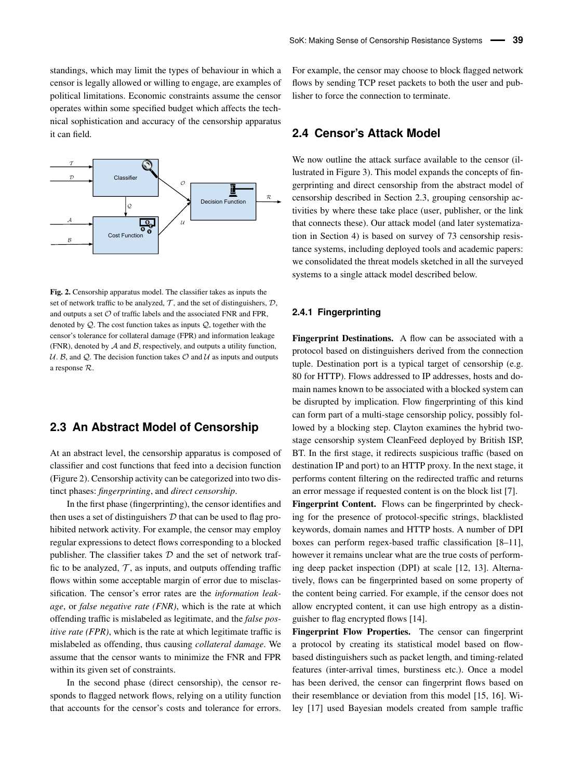standings, which may limit the types of behaviour in which a censor is legally allowed or willing to engage, are examples of political limitations. Economic constraints assume the censor operates within some specified budget which affects the technical sophistication and accuracy of the censorship apparatus it can field.

<span id="page-2-0"></span>

Fig. 2. Censorship apparatus model. The classifier takes as inputs the set of network traffic to be analyzed,  $\mathcal{T}$ , and the set of distinguishers,  $\mathcal{D}$ , and outputs a set  $O$  of traffic labels and the associated FNR and FPR, denoted by  $Q$ . The cost function takes as inputs  $Q$ , together with the censor's tolerance for collateral damage (FPR) and information leakage (FNR), denoted by  $A$  and  $B$ , respectively, and outputs a utility function,  $U. B$ , and  $Q.$  The decision function takes  $O$  and  $U$  as inputs and outputs a response R.

#### <span id="page-2-1"></span>**2.3 An Abstract Model of Censorship**

At an abstract level, the censorship apparatus is composed of classifier and cost functions that feed into a decision function (Figure [2\)](#page-2-0). Censorship activity can be categorized into two distinct phases: *fingerprinting*, and *direct censorship*.

In the first phase (fingerprinting), the censor identifies and then uses a set of distinguishers  $D$  that can be used to flag prohibited network activity. For example, the censor may employ regular expressions to detect flows corresponding to a blocked publisher. The classifier takes  $D$  and the set of network traffic to be analyzed,  $\mathcal{T}$ , as inputs, and outputs offending traffic flows within some acceptable margin of error due to misclassification. The censor's error rates are the *information leakage*, or *false negative rate (FNR)*, which is the rate at which offending traffic is mislabeled as legitimate, and the *false positive rate (FPR)*, which is the rate at which legitimate traffic is mislabeled as offending, thus causing *collateral damage*. We assume that the censor wants to minimize the FNR and FPR within its given set of constraints.

In the second phase (direct censorship), the censor responds to flagged network flows, relying on a utility function that accounts for the censor's costs and tolerance for errors. For example, the censor may choose to block flagged network flows by sending TCP reset packets to both the user and publisher to force the connection to terminate.

### <span id="page-2-2"></span>**2.4 Censor's Attack Model**

We now outline the attack surface available to the censor (illustrated in Figure [3\)](#page-3-0). This model expands the concepts of fingerprinting and direct censorship from the abstract model of censorship described in Section [2.3,](#page-2-1) grouping censorship activities by where these take place (user, publisher, or the link that connects these). Our attack model (and later systematization in Section [4\)](#page-6-0) is based on survey of 73 censorship resistance systems, including deployed tools and academic papers: we consolidated the threat models sketched in all the surveyed systems to a single attack model described below.

#### **2.4.1 Fingerprinting**

Fingerprint Destinations. A flow can be associated with a protocol based on distinguishers derived from the connection tuple. Destination port is a typical target of censorship (e.g. 80 for HTTP). Flows addressed to IP addresses, hosts and domain names known to be associated with a blocked system can be disrupted by implication. Flow fingerprinting of this kind can form part of a multi-stage censorship policy, possibly followed by a blocking step. Clayton examines the hybrid twostage censorship system CleanFeed deployed by British ISP, BT. In the first stage, it redirects suspicious traffic (based on destination IP and port) to an HTTP proxy. In the next stage, it performs content filtering on the redirected traffic and returns an error message if requested content is on the block list [\[7\]](#page-20-6).

Fingerprint Content. Flows can be fingerprinted by checking for the presence of protocol-specific strings, blacklisted keywords, domain names and HTTP hosts. A number of DPI boxes can perform regex-based traffic classification [\[8–](#page-20-7)[11\]](#page-20-8), however it remains unclear what are the true costs of performing deep packet inspection (DPI) at scale [\[12,](#page-20-9) [13\]](#page-20-10). Alternatively, flows can be fingerprinted based on some property of the content being carried. For example, if the censor does not allow encrypted content, it can use high entropy as a distinguisher to flag encrypted flows [\[14\]](#page-20-11).

Fingerprint Flow Properties. The censor can fingerprint a protocol by creating its statistical model based on flowbased distinguishers such as packet length, and timing-related features (inter-arrival times, burstiness etc.). Once a model has been derived, the censor can fingerprint flows based on their resemblance or deviation from this model [\[15,](#page-20-12) [16\]](#page-20-13). Wiley [\[17\]](#page-20-14) used Bayesian models created from sample traffic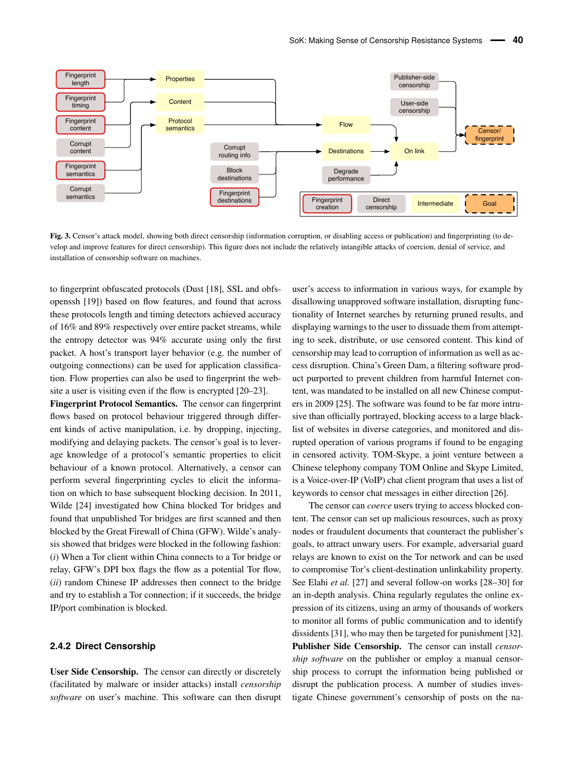<span id="page-3-0"></span>

Fig. 3. Censor's attack model, showing both direct censorship (information corruption, or disabling access or publication) and fingerprinting (to develop and improve features for direct censorship). This figure does not include the relatively intangible attacks of coercion, denial of service, and installation of censorship software on machines.

to fingerprint obfuscated protocols (Dust [\[18\]](#page-20-15), SSL and obfsopenssh [\[19\]](#page-20-16)) based on flow features, and found that across these protocols length and timing detectors achieved accuracy of 16% and 89% respectively over entire packet streams, while the entropy detector was 94% accurate using only the first packet. A host's transport layer behavior (e.g. the number of outgoing connections) can be used for application classification. Flow properties can also be used to fingerprint the website a user is visiting even if the flow is encrypted [\[20](#page-20-17)[–23\]](#page-20-18).

Fingerprint Protocol Semantics. The censor can fingerprint flows based on protocol behaviour triggered through different kinds of active manipulation, i.e. by dropping, injecting, modifying and delaying packets. The censor's goal is to leverage knowledge of a protocol's semantic properties to elicit behaviour of a known protocol. Alternatively, a censor can perform several fingerprinting cycles to elicit the information on which to base subsequent blocking decision. In 2011, Wilde [\[24\]](#page-20-19) investigated how China blocked Tor bridges and found that unpublished Tor bridges are first scanned and then blocked by the Great Firewall of China (GFW). Wilde's analysis showed that bridges were blocked in the following fashion: (*i*) When a Tor client within China connects to a Tor bridge or relay, GFW's DPI box flags the flow as a potential Tor flow, (*ii*) random Chinese IP addresses then connect to the bridge and try to establish a Tor connection; if it succeeds, the bridge IP/port combination is blocked.

#### **2.4.2 Direct Censorship**

User Side Censorship. The censor can directly or discretely (facilitated by malware or insider attacks) install *censorship software* on user's machine. This software can then disrupt user's access to information in various ways, for example by disallowing unapproved software installation, disrupting functionality of Internet searches by returning pruned results, and displaying warnings to the user to dissuade them from attempting to seek, distribute, or use censored content. This kind of censorship may lead to corruption of information as well as access disruption. China's Green Dam, a filtering software product purported to prevent children from harmful Internet content, was mandated to be installed on all new Chinese computers in 2009 [\[25\]](#page-20-20). The software was found to be far more intrusive than officially portrayed, blocking access to a large blacklist of websites in diverse categories, and monitored and disrupted operation of various programs if found to be engaging in censored activity. TOM-Skype, a joint venture between a Chinese telephony company TOM Online and Skype Limited, is a Voice-over-IP (VoIP) chat client program that uses a list of keywords to censor chat messages in either direction [\[26\]](#page-20-21).

The censor can *coerce* users trying to access blocked content. The censor can set up malicious resources, such as proxy nodes or fraudulent documents that counteract the publisher's goals, to attract unwary users. For example, adversarial guard relays are known to exist on the Tor network and can be used to compromise Tor's client-destination unlinkability property. See Elahi *et al.* [\[27\]](#page-20-22) and several follow-on works [\[28](#page-20-23)[–30\]](#page-20-24) for an in-depth analysis. China regularly regulates the online expression of its citizens, using an army of thousands of workers to monitor all forms of public communication and to identify dissidents [\[31\]](#page-20-25), who may then be targeted for punishment [\[32\]](#page-20-26). Publisher Side Censorship. The censor can install *censorship software* on the publisher or employ a manual censorship process to corrupt the information being published or disrupt the publication process. A number of studies investigate Chinese government's censorship of posts on the na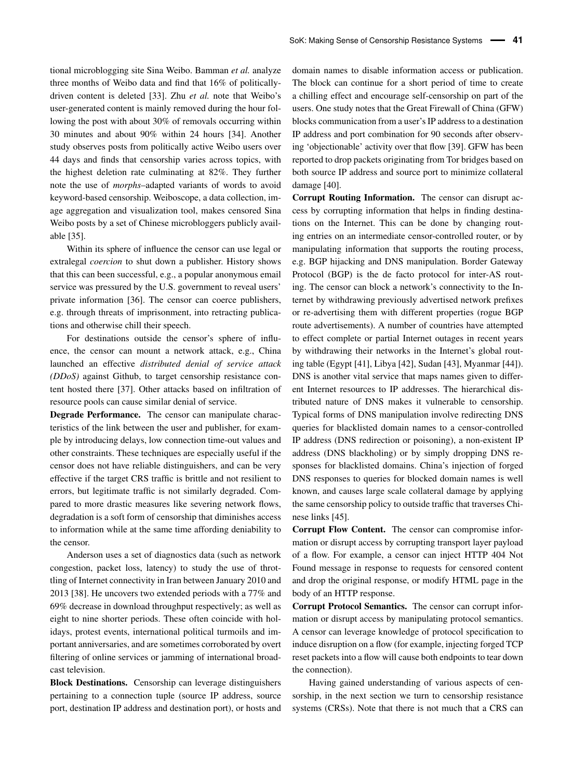tional microblogging site Sina Weibo. Bamman *et al.* analyze three months of Weibo data and find that 16% of politicallydriven content is deleted [\[33\]](#page-20-27). Zhu *et al.* note that Weibo's user-generated content is mainly removed during the hour following the post with about 30% of removals occurring within 30 minutes and about 90% within 24 hours [\[34\]](#page-20-28). Another study observes posts from politically active Weibo users over 44 days and finds that censorship varies across topics, with the highest deletion rate culminating at 82%. They further note the use of *morphs*–adapted variants of words to avoid keyword-based censorship. Weiboscope, a data collection, image aggregation and visualization tool, makes censored Sina Weibo posts by a set of Chinese microbloggers publicly available [\[35\]](#page-21-0).

Within its sphere of influence the censor can use legal or extralegal *coercion* to shut down a publisher. History shows that this can been successful, e.g., a popular anonymous email service was pressured by the U.S. government to reveal users' private information [\[36\]](#page-21-1). The censor can coerce publishers, e.g. through threats of imprisonment, into retracting publications and otherwise chill their speech.

For destinations outside the censor's sphere of influence, the censor can mount a network attack, e.g., China launched an effective *distributed denial of service attack (DDoS)* against Github, to target censorship resistance content hosted there [\[37\]](#page-21-2). Other attacks based on infiltration of resource pools can cause similar denial of service.

Degrade Performance. The censor can manipulate characteristics of the link between the user and publisher, for example by introducing delays, low connection time-out values and other constraints. These techniques are especially useful if the censor does not have reliable distinguishers, and can be very effective if the target CRS traffic is brittle and not resilient to errors, but legitimate traffic is not similarly degraded. Compared to more drastic measures like severing network flows, degradation is a soft form of censorship that diminishes access to information while at the same time affording deniability to the censor.

Anderson uses a set of diagnostics data (such as network congestion, packet loss, latency) to study the use of throttling of Internet connectivity in Iran between January 2010 and 2013 [\[38\]](#page-21-3). He uncovers two extended periods with a 77% and 69% decrease in download throughput respectively; as well as eight to nine shorter periods. These often coincide with holidays, protest events, international political turmoils and important anniversaries, and are sometimes corroborated by overt filtering of online services or jamming of international broadcast television.

Block Destinations. Censorship can leverage distinguishers pertaining to a connection tuple (source IP address, source port, destination IP address and destination port), or hosts and domain names to disable information access or publication. The block can continue for a short period of time to create a chilling effect and encourage self-censorship on part of the users. One study notes that the Great Firewall of China (GFW) blocks communication from a user's IP address to a destination IP address and port combination for 90 seconds after observing 'objectionable' activity over that flow [\[39\]](#page-21-4). GFW has been reported to drop packets originating from Tor bridges based on both source IP address and source port to minimize collateral damage [\[40\]](#page-21-5).

Corrupt Routing Information. The censor can disrupt access by corrupting information that helps in finding destinations on the Internet. This can be done by changing routing entries on an intermediate censor-controlled router, or by manipulating information that supports the routing process, e.g. BGP hijacking and DNS manipulation. Border Gateway Protocol (BGP) is the de facto protocol for inter-AS routing. The censor can block a network's connectivity to the Internet by withdrawing previously advertised network prefixes or re-advertising them with different properties (rogue BGP route advertisements). A number of countries have attempted to effect complete or partial Internet outages in recent years by withdrawing their networks in the Internet's global routing table (Egypt [\[41\]](#page-21-6), Libya [\[42\]](#page-21-7), Sudan [\[43\]](#page-21-8), Myanmar [\[44\]](#page-21-9)). DNS is another vital service that maps names given to different Internet resources to IP addresses. The hierarchical distributed nature of DNS makes it vulnerable to censorship. Typical forms of DNS manipulation involve redirecting DNS queries for blacklisted domain names to a censor-controlled IP address (DNS redirection or poisoning), a non-existent IP address (DNS blackholing) or by simply dropping DNS responses for blacklisted domains. China's injection of forged DNS responses to queries for blocked domain names is well known, and causes large scale collateral damage by applying the same censorship policy to outside traffic that traverses Chinese links [\[45\]](#page-21-10).

Corrupt Flow Content. The censor can compromise information or disrupt access by corrupting transport layer payload of a flow. For example, a censor can inject HTTP 404 Not Found message in response to requests for censored content and drop the original response, or modify HTML page in the body of an HTTP response.

Corrupt Protocol Semantics. The censor can corrupt information or disrupt access by manipulating protocol semantics. A censor can leverage knowledge of protocol specification to induce disruption on a flow (for example, injecting forged TCP reset packets into a flow will cause both endpoints to tear down the connection).

Having gained understanding of various aspects of censorship, in the next section we turn to censorship resistance systems (CRSs). Note that there is not much that a CRS can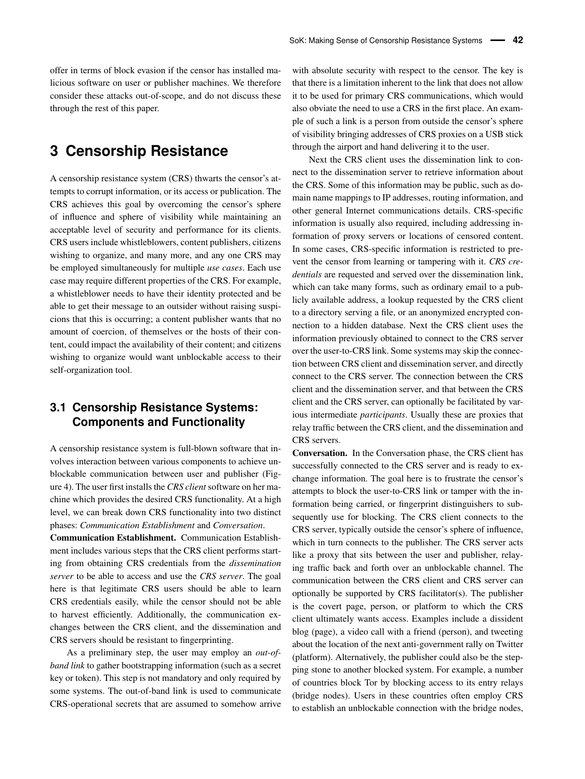offer in terms of block evasion if the censor has installed malicious software on user or publisher machines. We therefore consider these attacks out-of-scope, and do not discuss these through the rest of this paper.

## <span id="page-5-0"></span>**3 Censorship Resistance**

A censorship resistance system (CRS) thwarts the censor's attempts to corrupt information, or its access or publication. The CRS achieves this goal by overcoming the censor's sphere of influence and sphere of visibility while maintaining an acceptable level of security and performance for its clients. CRS users include whistleblowers, content publishers, citizens wishing to organize, and many more, and any one CRS may be employed simultaneously for multiple *use cases*. Each use case may require different properties of the CRS. For example, a whistleblower needs to have their identity protected and be able to get their message to an outsider without raising suspicions that this is occurring; a content publisher wants that no amount of coercion, of themselves or the hosts of their content, could impact the availability of their content; and citizens wishing to organize would want unblockable access to their self-organization tool.

## **3.1 Censorship Resistance Systems: Components and Functionality**

A censorship resistance system is full-blown software that involves interaction between various components to achieve unblockable communication between user and publisher (Figure [4\)](#page-6-1). The user first installs the *CRS client* software on her machine which provides the desired CRS functionality. At a high level, we can break down CRS functionality into two distinct phases: *Communication Establishment* and *Conversation*.

Communication Establishment. Communication Establishment includes various steps that the CRS client performs starting from obtaining CRS credentials from the *dissemination server* to be able to access and use the *CRS server*. The goal here is that legitimate CRS users should be able to learn CRS credentials easily, while the censor should not be able to harvest efficiently. Additionally, the communication exchanges between the CRS client, and the dissemination and CRS servers should be resistant to fingerprinting.

As a preliminary step, the user may employ an *out-ofband link* to gather bootstrapping information (such as a secret key or token). This step is not mandatory and only required by some systems. The out-of-band link is used to communicate CRS-operational secrets that are assumed to somehow arrive with absolute security with respect to the censor. The key is that there is a limitation inherent to the link that does not allow it to be used for primary CRS communications, which would also obviate the need to use a CRS in the first place. An example of such a link is a person from outside the censor's sphere of visibility bringing addresses of CRS proxies on a USB stick through the airport and hand delivering it to the user.

Next the CRS client uses the dissemination link to connect to the dissemination server to retrieve information about the CRS. Some of this information may be public, such as domain name mappings to IP addresses, routing information, and other general Internet communications details. CRS-specific information is usually also required, including addressing information of proxy servers or locations of censored content. In some cases, CRS-specific information is restricted to prevent the censor from learning or tampering with it. *CRS credentials* are requested and served over the dissemination link, which can take many forms, such as ordinary email to a publicly available address, a lookup requested by the CRS client to a directory serving a file, or an anonymized encrypted connection to a hidden database. Next the CRS client uses the information previously obtained to connect to the CRS server over the user-to-CRS link. Some systems may skip the connection between CRS client and dissemination server, and directly connect to the CRS server. The connection between the CRS client and the dissemination server, and that between the CRS client and the CRS server, can optionally be facilitated by various intermediate *participants*. Usually these are proxies that relay traffic between the CRS client, and the dissemination and CRS servers.

Conversation. In the Conversation phase, the CRS client has successfully connected to the CRS server and is ready to exchange information. The goal here is to frustrate the censor's attempts to block the user-to-CRS link or tamper with the information being carried, or fingerprint distinguishers to subsequently use for blocking. The CRS client connects to the CRS server, typically outside the censor's sphere of influence, which in turn connects to the publisher. The CRS server acts like a proxy that sits between the user and publisher, relaying traffic back and forth over an unblockable channel. The communication between the CRS client and CRS server can optionally be supported by CRS facilitator(s). The publisher is the covert page, person, or platform to which the CRS client ultimately wants access. Examples include a dissident blog (page), a video call with a friend (person), and tweeting about the location of the next anti-government rally on Twitter (platform). Alternatively, the publisher could also be the stepping stone to another blocked system. For example, a number of countries block Tor by blocking access to its entry relays (bridge nodes). Users in these countries often employ CRS to establish an unblockable connection with the bridge nodes,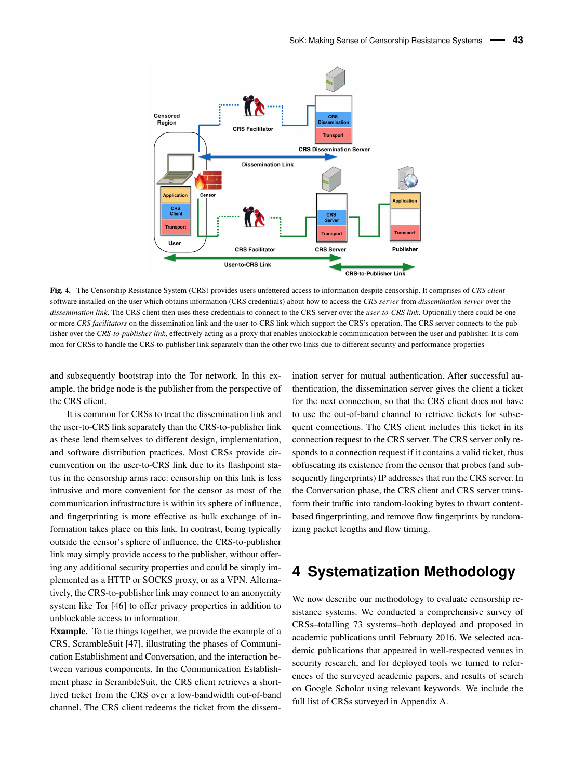<span id="page-6-1"></span>

Fig. 4. The Censorship Resistance System (CRS) provides users unfettered access to information despite censorship. It comprises of *CRS client* software installed on the user which obtains information (CRS credentials) about how to access the *CRS server* from *dissemination server* over the *dissemination link*. The CRS client then uses these credentials to connect to the CRS server over the *user-to-CRS link*. Optionally there could be one or more *CRS facilitators* on the dissemination link and the user-to-CRS link which support the CRS's operation. The CRS server connects to the publisher over the *CRS-to-publisher link*, effectively acting as a proxy that enables unblockable communication between the user and publisher. It is common for CRSs to handle the CRS-to-publisher link separately than the other two links due to different security and performance properties

and subsequently bootstrap into the Tor network. In this example, the bridge node is the publisher from the perspective of the CRS client.

It is common for CRSs to treat the dissemination link and the user-to-CRS link separately than the CRS-to-publisher link as these lend themselves to different design, implementation, and software distribution practices. Most CRSs provide circumvention on the user-to-CRS link due to its flashpoint status in the censorship arms race: censorship on this link is less intrusive and more convenient for the censor as most of the communication infrastructure is within its sphere of influence, and fingerprinting is more effective as bulk exchange of information takes place on this link. In contrast, being typically outside the censor's sphere of influence, the CRS-to-publisher link may simply provide access to the publisher, without offering any additional security properties and could be simply implemented as a HTTP or SOCKS proxy, or as a VPN. Alternatively, the CRS-to-publisher link may connect to an anonymity system like Tor [\[46\]](#page-21-11) to offer privacy properties in addition to unblockable access to information.

Example. To tie things together, we provide the example of a CRS, ScrambleSuit [\[47\]](#page-21-12), illustrating the phases of Communication Establishment and Conversation, and the interaction between various components. In the Communication Establishment phase in ScrambleSuit, the CRS client retrieves a shortlived ticket from the CRS over a low-bandwidth out-of-band channel. The CRS client redeems the ticket from the dissem-

ination server for mutual authentication. After successful authentication, the dissemination server gives the client a ticket for the next connection, so that the CRS client does not have to use the out-of-band channel to retrieve tickets for subsequent connections. The CRS client includes this ticket in its connection request to the CRS server. The CRS server only responds to a connection request if it contains a valid ticket, thus obfuscating its existence from the censor that probes (and subsequently fingerprints) IP addresses that run the CRS server. In the Conversation phase, the CRS client and CRS server transform their traffic into random-looking bytes to thwart contentbased fingerprinting, and remove flow fingerprints by randomizing packet lengths and flow timing.

## <span id="page-6-0"></span>**4 Systematization Methodology**

We now describe our methodology to evaluate censorship resistance systems. We conducted a comprehensive survey of CRSs–totalling 73 systems–both deployed and proposed in academic publications until February 2016. We selected academic publications that appeared in well-respected venues in security research, and for deployed tools we turned to references of the surveyed academic papers, and results of search on Google Scholar using relevant keywords. We include the full list of CRSs surveyed in Appendix [A.](#page-24-1)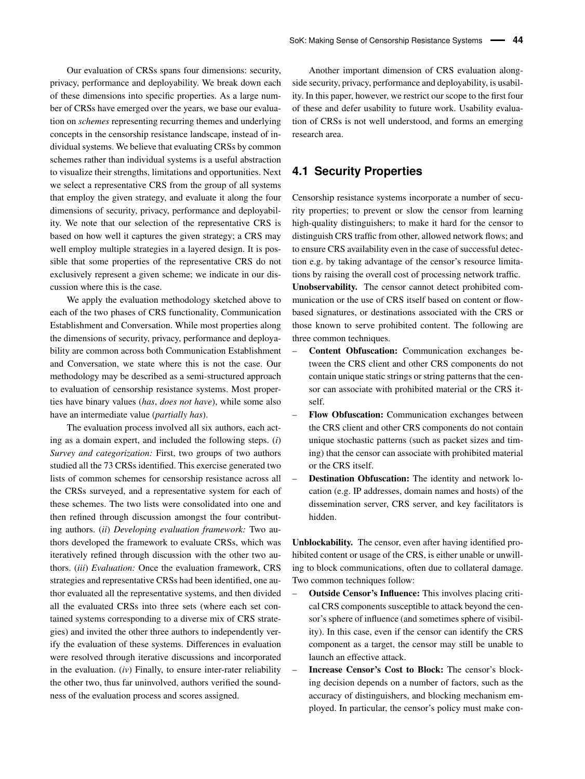Our evaluation of CRSs spans four dimensions: security, privacy, performance and deployability. We break down each of these dimensions into specific properties. As a large number of CRSs have emerged over the years, we base our evaluation on *schemes* representing recurring themes and underlying concepts in the censorship resistance landscape, instead of individual systems. We believe that evaluating CRSs by common schemes rather than individual systems is a useful abstraction to visualize their strengths, limitations and opportunities. Next we select a representative CRS from the group of all systems that employ the given strategy, and evaluate it along the four dimensions of security, privacy, performance and deployability. We note that our selection of the representative CRS is based on how well it captures the given strategy; a CRS may well employ multiple strategies in a layered design. It is possible that some properties of the representative CRS do not exclusively represent a given scheme; we indicate in our discussion where this is the case.

We apply the evaluation methodology sketched above to each of the two phases of CRS functionality, Communication Establishment and Conversation. While most properties along the dimensions of security, privacy, performance and deployability are common across both Communication Establishment and Conversation, we state where this is not the case. Our methodology may be described as a semi-structured approach to evaluation of censorship resistance systems. Most properties have binary values (*has*, *does not have*), while some also have an intermediate value (*partially has*).

The evaluation process involved all six authors, each acting as a domain expert, and included the following steps. (*i*) *Survey and categorization:* First, two groups of two authors studied all the 73 CRSs identified. This exercise generated two lists of common schemes for censorship resistance across all the CRSs surveyed, and a representative system for each of these schemes. The two lists were consolidated into one and then refined through discussion amongst the four contributing authors. (*ii*) *Developing evaluation framework:* Two authors developed the framework to evaluate CRSs, which was iteratively refined through discussion with the other two authors. (*iii*) *Evaluation:* Once the evaluation framework, CRS strategies and representative CRSs had been identified, one author evaluated all the representative systems, and then divided all the evaluated CRSs into three sets (where each set contained systems corresponding to a diverse mix of CRS strategies) and invited the other three authors to independently verify the evaluation of these systems. Differences in evaluation were resolved through iterative discussions and incorporated in the evaluation. (*iv*) Finally, to ensure inter-rater reliability the other two, thus far uninvolved, authors verified the soundness of the evaluation process and scores assigned.

Another important dimension of CRS evaluation alongside security, privacy, performance and deployability, is usability. In this paper, however, we restrict our scope to the first four of these and defer usability to future work. Usability evaluation of CRSs is not well understood, and forms an emerging research area.

## **4.1 Security Properties**

Censorship resistance systems incorporate a number of security properties; to prevent or slow the censor from learning high-quality distinguishers; to make it hard for the censor to distinguish CRS traffic from other, allowed network flows; and to ensure CRS availability even in the case of successful detection e.g. by taking advantage of the censor's resource limitations by raising the overall cost of processing network traffic. Unobservability. The censor cannot detect prohibited communication or the use of CRS itself based on content or flowbased signatures, or destinations associated with the CRS or those known to serve prohibited content. The following are three common techniques.

- Content Obfuscation: Communication exchanges between the CRS client and other CRS components do not contain unique static strings or string patterns that the censor can associate with prohibited material or the CRS itself.
- Flow Obfuscation: Communication exchanges between the CRS client and other CRS components do not contain unique stochastic patterns (such as packet sizes and timing) that the censor can associate with prohibited material or the CRS itself.
- Destination Obfuscation: The identity and network location (e.g. IP addresses, domain names and hosts) of the dissemination server, CRS server, and key facilitators is hidden.

Unblockability. The censor, even after having identified prohibited content or usage of the CRS, is either unable or unwilling to block communications, often due to collateral damage. Two common techniques follow:

- Outside Censor's Influence: This involves placing critical CRS components susceptible to attack beyond the censor's sphere of influence (and sometimes sphere of visibility). In this case, even if the censor can identify the CRS component as a target, the censor may still be unable to launch an effective attack.
- Increase Censor's Cost to Block: The censor's blocking decision depends on a number of factors, such as the accuracy of distinguishers, and blocking mechanism employed. In particular, the censor's policy must make con-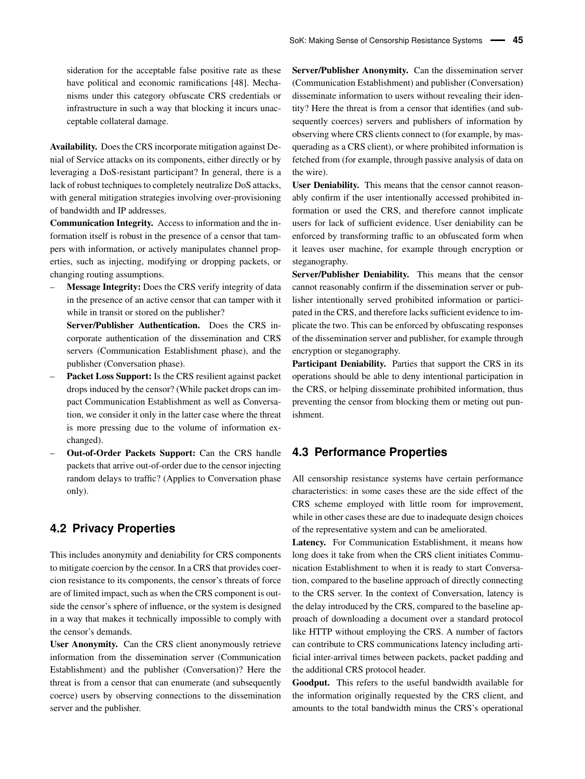sideration for the acceptable false positive rate as these have political and economic ramifications [\[48\]](#page-21-13). Mechanisms under this category obfuscate CRS credentials or infrastructure in such a way that blocking it incurs unacceptable collateral damage.

Availability. Does the CRS incorporate mitigation against Denial of Service attacks on its components, either directly or by leveraging a DoS-resistant participant? In general, there is a lack of robust techniques to completely neutralize DoS attacks, with general mitigation strategies involving over-provisioning of bandwidth and IP addresses.

Communication Integrity. Access to information and the information itself is robust in the presence of a censor that tampers with information, or actively manipulates channel properties, such as injecting, modifying or dropping packets, or changing routing assumptions.

– Message Integrity: Does the CRS verify integrity of data in the presence of an active censor that can tamper with it while in transit or stored on the publisher?

Server/Publisher Authentication. Does the CRS incorporate authentication of the dissemination and CRS servers (Communication Establishment phase), and the publisher (Conversation phase).

- Packet Loss Support: Is the CRS resilient against packet drops induced by the censor? (While packet drops can impact Communication Establishment as well as Conversation, we consider it only in the latter case where the threat is more pressing due to the volume of information exchanged).
- Out-of-Order Packets Support: Can the CRS handle packets that arrive out-of-order due to the censor injecting random delays to traffic? (Applies to Conversation phase only).

### **4.2 Privacy Properties**

This includes anonymity and deniability for CRS components to mitigate coercion by the censor. In a CRS that provides coercion resistance to its components, the censor's threats of force are of limited impact, such as when the CRS component is outside the censor's sphere of influence, or the system is designed in a way that makes it technically impossible to comply with the censor's demands.

User Anonymity. Can the CRS client anonymously retrieve information from the dissemination server (Communication Establishment) and the publisher (Conversation)? Here the threat is from a censor that can enumerate (and subsequently coerce) users by observing connections to the dissemination server and the publisher.

Server/Publisher Anonymity. Can the dissemination server (Communication Establishment) and publisher (Conversation) disseminate information to users without revealing their identity? Here the threat is from a censor that identifies (and subsequently coerces) servers and publishers of information by observing where CRS clients connect to (for example, by masquerading as a CRS client), or where prohibited information is fetched from (for example, through passive analysis of data on the wire).

User Deniability. This means that the censor cannot reasonably confirm if the user intentionally accessed prohibited information or used the CRS, and therefore cannot implicate users for lack of sufficient evidence. User deniability can be enforced by transforming traffic to an obfuscated form when it leaves user machine, for example through encryption or steganography.

Server/Publisher Deniability. This means that the censor cannot reasonably confirm if the dissemination server or publisher intentionally served prohibited information or participated in the CRS, and therefore lacks sufficient evidence to implicate the two. This can be enforced by obfuscating responses of the dissemination server and publisher, for example through encryption or steganography.

Participant Deniability. Parties that support the CRS in its operations should be able to deny intentional participation in the CRS, or helping disseminate prohibited information, thus preventing the censor from blocking them or meting out punishment.

### **4.3 Performance Properties**

All censorship resistance systems have certain performance characteristics: in some cases these are the side effect of the CRS scheme employed with little room for improvement, while in other cases these are due to inadequate design choices of the representative system and can be ameliorated.

Latency. For Communication Establishment, it means how long does it take from when the CRS client initiates Communication Establishment to when it is ready to start Conversation, compared to the baseline approach of directly connecting to the CRS server. In the context of Conversation, latency is the delay introduced by the CRS, compared to the baseline approach of downloading a document over a standard protocol like HTTP without employing the CRS. A number of factors can contribute to CRS communications latency including artificial inter-arrival times between packets, packet padding and the additional CRS protocol header.

Goodput. This refers to the useful bandwidth available for the information originally requested by the CRS client, and amounts to the total bandwidth minus the CRS's operational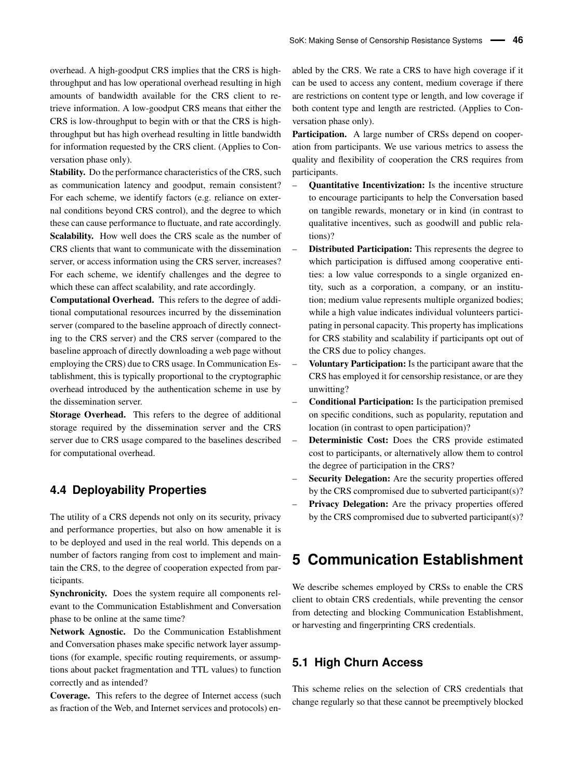overhead. A high-goodput CRS implies that the CRS is highthroughput and has low operational overhead resulting in high amounts of bandwidth available for the CRS client to retrieve information. A low-goodput CRS means that either the CRS is low-throughput to begin with or that the CRS is highthroughput but has high overhead resulting in little bandwidth for information requested by the CRS client. (Applies to Conversation phase only).

Stability. Do the performance characteristics of the CRS, such as communication latency and goodput, remain consistent? For each scheme, we identify factors (e.g. reliance on external conditions beyond CRS control), and the degree to which these can cause performance to fluctuate, and rate accordingly. Scalability. How well does the CRS scale as the number of CRS clients that want to communicate with the dissemination server, or access information using the CRS server, increases? For each scheme, we identify challenges and the degree to which these can affect scalability, and rate accordingly.

Computational Overhead. This refers to the degree of additional computational resources incurred by the dissemination server (compared to the baseline approach of directly connecting to the CRS server) and the CRS server (compared to the baseline approach of directly downloading a web page without employing the CRS) due to CRS usage. In Communication Establishment, this is typically proportional to the cryptographic overhead introduced by the authentication scheme in use by the dissemination server.

Storage Overhead. This refers to the degree of additional storage required by the dissemination server and the CRS server due to CRS usage compared to the baselines described for computational overhead.

#### **4.4 Deployability Properties**

The utility of a CRS depends not only on its security, privacy and performance properties, but also on how amenable it is to be deployed and used in the real world. This depends on a number of factors ranging from cost to implement and maintain the CRS, to the degree of cooperation expected from participants.

Synchronicity. Does the system require all components relevant to the Communication Establishment and Conversation phase to be online at the same time?

Network Agnostic. Do the Communication Establishment and Conversation phases make specific network layer assumptions (for example, specific routing requirements, or assumptions about packet fragmentation and TTL values) to function correctly and as intended?

Coverage. This refers to the degree of Internet access (such as fraction of the Web, and Internet services and protocols) enabled by the CRS. We rate a CRS to have high coverage if it can be used to access any content, medium coverage if there are restrictions on content type or length, and low coverage if both content type and length are restricted. (Applies to Conversation phase only).

Participation. A large number of CRSs depend on cooperation from participants. We use various metrics to assess the quality and flexibility of cooperation the CRS requires from participants.

- Quantitative Incentivization: Is the incentive structure to encourage participants to help the Conversation based on tangible rewards, monetary or in kind (in contrast to qualitative incentives, such as goodwill and public relations)?
- Distributed Participation: This represents the degree to which participation is diffused among cooperative entities: a low value corresponds to a single organized entity, such as a corporation, a company, or an institution; medium value represents multiple organized bodies; while a high value indicates individual volunteers participating in personal capacity. This property has implications for CRS stability and scalability if participants opt out of the CRS due to policy changes.
- Voluntary Participation: Is the participant aware that the CRS has employed it for censorship resistance, or are they unwitting?
- Conditional Participation: Is the participation premised on specific conditions, such as popularity, reputation and location (in contrast to open participation)?
- Deterministic Cost: Does the CRS provide estimated cost to participants, or alternatively allow them to control the degree of participation in the CRS?
- Security Delegation: Are the security properties offered by the CRS compromised due to subverted participant(s)?
- **Privacy Delegation:** Are the privacy properties offered by the CRS compromised due to subverted participant(s)?

## <span id="page-9-0"></span>**5 Communication Establishment**

We describe schemes employed by CRSs to enable the CRS client to obtain CRS credentials, while preventing the censor from detecting and blocking Communication Establishment, or harvesting and fingerprinting CRS credentials.

### **5.1 High Churn Access**

This scheme relies on the selection of CRS credentials that change regularly so that these cannot be preemptively blocked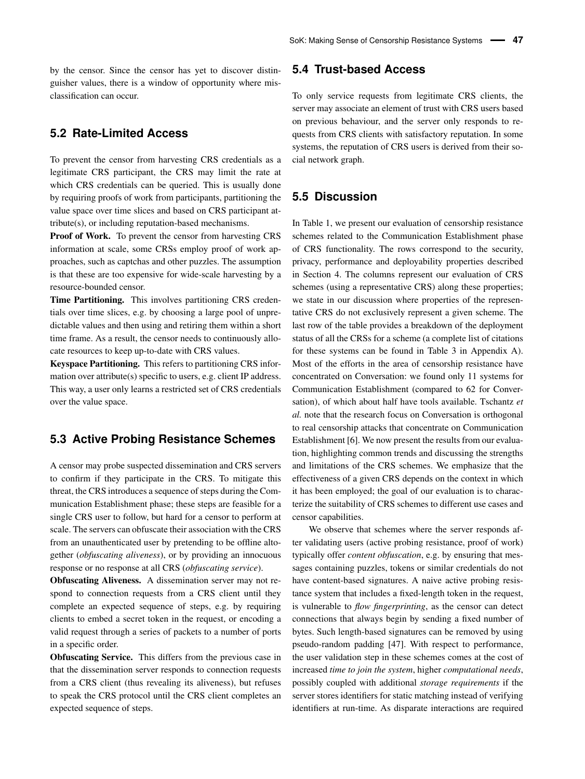by the censor. Since the censor has yet to discover distinguisher values, there is a window of opportunity where misclassification can occur.

### **5.2 Rate-Limited Access**

To prevent the censor from harvesting CRS credentials as a legitimate CRS participant, the CRS may limit the rate at which CRS credentials can be queried. This is usually done by requiring proofs of work from participants, partitioning the value space over time slices and based on CRS participant attribute(s), or including reputation-based mechanisms.

Proof of Work. To prevent the censor from harvesting CRS information at scale, some CRSs employ proof of work approaches, such as captchas and other puzzles. The assumption is that these are too expensive for wide-scale harvesting by a resource-bounded censor.

Time Partitioning. This involves partitioning CRS credentials over time slices, e.g. by choosing a large pool of unpredictable values and then using and retiring them within a short time frame. As a result, the censor needs to continuously allocate resources to keep up-to-date with CRS values.

Keyspace Partitioning. This refers to partitioning CRS information over attribute(s) specific to users, e.g. client IP address. This way, a user only learns a restricted set of CRS credentials over the value space.

#### **5.3 Active Probing Resistance Schemes**

A censor may probe suspected dissemination and CRS servers to confirm if they participate in the CRS. To mitigate this threat, the CRS introduces a sequence of steps during the Communication Establishment phase; these steps are feasible for a single CRS user to follow, but hard for a censor to perform at scale. The servers can obfuscate their association with the CRS from an unauthenticated user by pretending to be offline altogether (*obfuscating aliveness*), or by providing an innocuous response or no response at all CRS (*obfuscating service*).

Obfuscating Aliveness. A dissemination server may not respond to connection requests from a CRS client until they complete an expected sequence of steps, e.g. by requiring clients to embed a secret token in the request, or encoding a valid request through a series of packets to a number of ports in a specific order.

Obfuscating Service. This differs from the previous case in that the dissemination server responds to connection requests from a CRS client (thus revealing its aliveness), but refuses to speak the CRS protocol until the CRS client completes an expected sequence of steps.

### **5.4 Trust-based Access**

To only service requests from legitimate CRS clients, the server may associate an element of trust with CRS users based on previous behaviour, and the server only responds to requests from CRS clients with satisfactory reputation. In some systems, the reputation of CRS users is derived from their social network graph.

### <span id="page-10-0"></span>**5.5 Discussion**

In Table [1,](#page-11-0) we present our evaluation of censorship resistance schemes related to the Communication Establishment phase of CRS functionality. The rows correspond to the security, privacy, performance and deployability properties described in Section [4.](#page-6-0) The columns represent our evaluation of CRS schemes (using a representative CRS) along these properties; we state in our discussion where properties of the representative CRS do not exclusively represent a given scheme. The last row of the table provides a breakdown of the deployment status of all the CRSs for a scheme (a complete list of citations for these systems can be found in Table [3](#page-24-2) in Appendix [A\)](#page-24-1). Most of the efforts in the area of censorship resistance have concentrated on Conversation: we found only 11 systems for Communication Establishment (compared to 62 for Conversation), of which about half have tools available. Tschantz *et al.* note that the research focus on Conversation is orthogonal to real censorship attacks that concentrate on Communication Establishment [\[6\]](#page-20-5). We now present the results from our evaluation, highlighting common trends and discussing the strengths and limitations of the CRS schemes. We emphasize that the effectiveness of a given CRS depends on the context in which it has been employed; the goal of our evaluation is to characterize the suitability of CRS schemes to different use cases and censor capabilities.

We observe that schemes where the server responds after validating users (active probing resistance, proof of work) typically offer *content obfuscation*, e.g. by ensuring that messages containing puzzles, tokens or similar credentials do not have content-based signatures. A naive active probing resistance system that includes a fixed-length token in the request, is vulnerable to *flow fingerprinting*, as the censor can detect connections that always begin by sending a fixed number of bytes. Such length-based signatures can be removed by using pseudo-random padding [\[47\]](#page-21-12). With respect to performance, the user validation step in these schemes comes at the cost of increased *time to join the system*, higher *computational needs*, possibly coupled with additional *storage requirements* if the server stores identifiers for static matching instead of verifying identifiers at run-time. As disparate interactions are required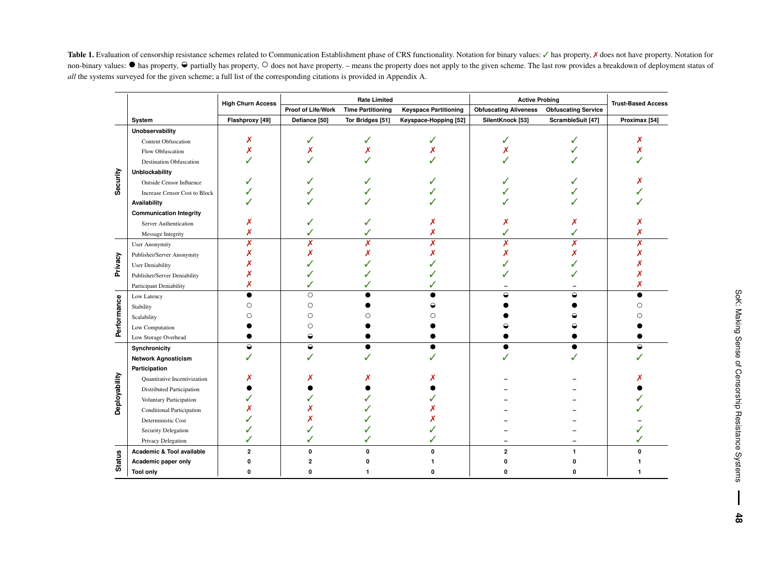<span id="page-11-0"></span>Table 1. Evaluation of censorship resistance schemes related to Communication Establishment phase of CRS functionality. Notation for binary values: ✓ has property, <mark></mark> aloes not have property. Notation for non-binary values:  $\bullet$  has property,  $\bullet$  partially has property,  $\circ$  does not have property. – means the property does not apply to the given scheme. The last row provides a breakdown of deployment status of *all* the systems surveyed for the given scheme; <sup>a</sup> full list of the corresponding citations is provided in Appendix [A.](#page-24-3)

|               | <b>High Churn Access</b>             |                 | <b>Rate Limited</b> |                          |                              | <b>Active Probing</b>        |                            | <b>Trust-Based Access</b> |
|---------------|--------------------------------------|-----------------|---------------------|--------------------------|------------------------------|------------------------------|----------------------------|---------------------------|
|               |                                      |                 | Proof of Life/Work  | <b>Time Partitioning</b> | <b>Keyspace Partitioning</b> | <b>Obfuscating Aliveness</b> | <b>Obfuscating Service</b> |                           |
|               | System                               | Flashproxy [49] | Defiance [50]       | Tor Bridges [51]         | Keyspace-Hopping [52]        | SilentKnock [53]             | ScrambleSuit [47]          | Proximax [54]             |
|               | Unobservability                      |                 |                     |                          |                              |                              |                            |                           |
|               | <b>Content Obfuscation</b>           | х               |                     |                          |                              |                              |                            |                           |
|               | Flow Obfuscation                     | Х               |                     |                          |                              |                              |                            |                           |
|               | <b>Destination Obfuscation</b>       |                 |                     |                          |                              |                              |                            |                           |
|               | <b>Unblockability</b>                |                 |                     |                          |                              |                              |                            |                           |
| Security      | Outside Censor Influence             |                 |                     |                          |                              |                              |                            |                           |
|               | <b>Increase Censor Cost to Block</b> |                 |                     |                          |                              |                              |                            |                           |
|               | Availability                         |                 |                     |                          |                              |                              |                            |                           |
|               | <b>Communication Integrity</b>       |                 |                     |                          |                              |                              |                            |                           |
|               | Server Authentication                |                 |                     |                          |                              |                              |                            |                           |
|               | Message Integrity                    | х               |                     |                          | Х                            |                              |                            |                           |
|               | <b>User Anonymity</b>                | x               | X                   | X                        | X                            |                              | x                          |                           |
|               | Publisher/Server Anonymity           |                 |                     |                          |                              |                              |                            |                           |
| Privacy       | <b>User Deniability</b>              |                 |                     |                          |                              |                              |                            |                           |
|               | Publisher/Server Deniability         |                 |                     |                          |                              |                              |                            |                           |
|               | Participant Deniability              |                 |                     |                          |                              |                              |                            |                           |
|               | Low Latency                          |                 | $\bigcirc$          |                          |                              |                              |                            |                           |
|               | Stability                            |                 | C                   |                          |                              |                              |                            |                           |
| Performance   | Scalability                          |                 |                     |                          |                              |                              |                            |                           |
|               | Low Computation                      |                 |                     |                          |                              |                              |                            |                           |
|               | Low Storage Overhead                 |                 |                     |                          |                              |                              |                            |                           |
|               | Synchronicity                        |                 | $\bullet$           |                          |                              |                              |                            |                           |
|               | <b>Network Agnosticism</b>           |                 |                     |                          |                              |                              |                            |                           |
|               | Participation                        |                 |                     |                          |                              |                              |                            |                           |
| Deployability | Quantitative Incentivization         |                 |                     |                          |                              |                              |                            |                           |
|               | <b>Distributed Participation</b>     |                 |                     |                          |                              |                              |                            |                           |
|               | Voluntary Participation              |                 |                     |                          |                              |                              |                            |                           |
|               | Conditional Participation            |                 |                     |                          |                              |                              |                            |                           |
|               | Deterministic Cost                   |                 |                     |                          |                              |                              |                            |                           |
|               | Security Delegation                  |                 |                     |                          |                              |                              |                            |                           |
|               | Privacy Delegation                   |                 |                     |                          |                              |                              |                            |                           |
|               | Academic & Tool available            | $\overline{2}$  | $\Omega$            | O                        | 0                            | $\overline{2}$               | 1                          | n                         |
| Status        | Academic paper only                  |                 |                     |                          |                              |                              |                            |                           |
|               | <b>Tool only</b>                     | ŋ               | n                   |                          |                              |                              |                            |                           |

**48**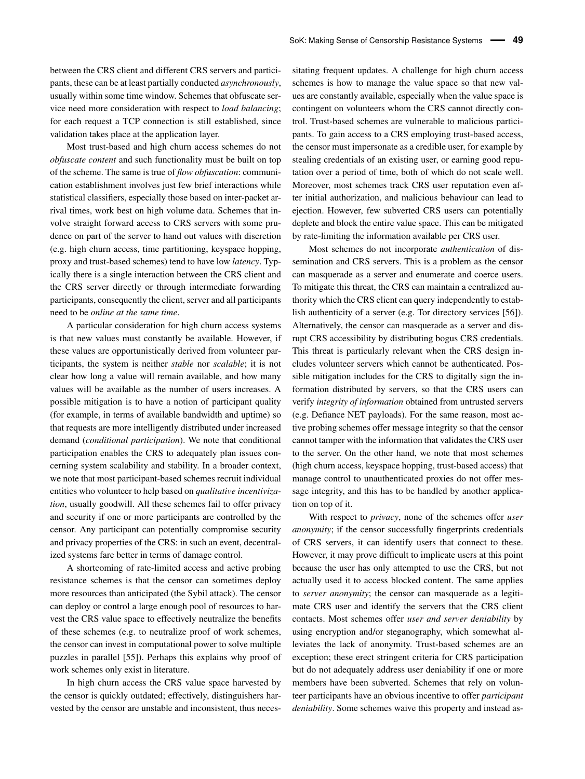between the CRS client and different CRS servers and participants, these can be at least partially conducted *asynchronously*, usually within some time window. Schemes that obfuscate service need more consideration with respect to *load balancing*; for each request a TCP connection is still established, since validation takes place at the application layer.

Most trust-based and high churn access schemes do not *obfuscate content* and such functionality must be built on top of the scheme. The same is true of *flow obfuscation*: communication establishment involves just few brief interactions while statistical classifiers, especially those based on inter-packet arrival times, work best on high volume data. Schemes that involve straight forward access to CRS servers with some prudence on part of the server to hand out values with discretion (e.g. high churn access, time partitioning, keyspace hopping, proxy and trust-based schemes) tend to have low *latency*. Typically there is a single interaction between the CRS client and the CRS server directly or through intermediate forwarding participants, consequently the client, server and all participants need to be *online at the same time*.

A particular consideration for high churn access systems is that new values must constantly be available. However, if these values are opportunistically derived from volunteer participants, the system is neither *stable* nor *scalable*; it is not clear how long a value will remain available, and how many values will be available as the number of users increases. A possible mitigation is to have a notion of participant quality (for example, in terms of available bandwidth and uptime) so that requests are more intelligently distributed under increased demand (*conditional participation*). We note that conditional participation enables the CRS to adequately plan issues concerning system scalability and stability. In a broader context, we note that most participant-based schemes recruit individual entities who volunteer to help based on *qualitative incentivization*, usually goodwill. All these schemes fail to offer privacy and security if one or more participants are controlled by the censor. Any participant can potentially compromise security and privacy properties of the CRS: in such an event, decentralized systems fare better in terms of damage control.

A shortcoming of rate-limited access and active probing resistance schemes is that the censor can sometimes deploy more resources than anticipated (the Sybil attack). The censor can deploy or control a large enough pool of resources to harvest the CRS value space to effectively neutralize the benefits of these schemes (e.g. to neutralize proof of work schemes, the censor can invest in computational power to solve multiple puzzles in parallel [\[55\]](#page-21-21)). Perhaps this explains why proof of work schemes only exist in literature.

In high churn access the CRS value space harvested by the censor is quickly outdated; effectively, distinguishers harvested by the censor are unstable and inconsistent, thus necessitating frequent updates. A challenge for high churn access schemes is how to manage the value space so that new values are constantly available, especially when the value space is contingent on volunteers whom the CRS cannot directly control. Trust-based schemes are vulnerable to malicious participants. To gain access to a CRS employing trust-based access, the censor must impersonate as a credible user, for example by stealing credentials of an existing user, or earning good reputation over a period of time, both of which do not scale well. Moreover, most schemes track CRS user reputation even after initial authorization, and malicious behaviour can lead to ejection. However, few subverted CRS users can potentially deplete and block the entire value space. This can be mitigated by rate-limiting the information available per CRS user.

Most schemes do not incorporate *authentication* of dissemination and CRS servers. This is a problem as the censor can masquerade as a server and enumerate and coerce users. To mitigate this threat, the CRS can maintain a centralized authority which the CRS client can query independently to establish authenticity of a server (e.g. Tor directory services [\[56\]](#page-21-22)). Alternatively, the censor can masquerade as a server and disrupt CRS accessibility by distributing bogus CRS credentials. This threat is particularly relevant when the CRS design includes volunteer servers which cannot be authenticated. Possible mitigation includes for the CRS to digitally sign the information distributed by servers, so that the CRS users can verify *integrity of information* obtained from untrusted servers (e.g. Defiance NET payloads). For the same reason, most active probing schemes offer message integrity so that the censor cannot tamper with the information that validates the CRS user to the server. On the other hand, we note that most schemes (high churn access, keyspace hopping, trust-based access) that manage control to unauthenticated proxies do not offer message integrity, and this has to be handled by another application on top of it.

With respect to *privacy*, none of the schemes offer *user anonymity*; if the censor successfully fingerprints credentials of CRS servers, it can identify users that connect to these. However, it may prove difficult to implicate users at this point because the user has only attempted to use the CRS, but not actually used it to access blocked content. The same applies to *server anonymity*; the censor can masquerade as a legitimate CRS user and identify the servers that the CRS client contacts. Most schemes offer *user and server deniability* by using encryption and/or steganography, which somewhat alleviates the lack of anonymity. Trust-based schemes are an exception; these erect stringent criteria for CRS participation but do not adequately address user deniability if one or more members have been subverted. Schemes that rely on volunteer participants have an obvious incentive to offer *participant deniability*. Some schemes waive this property and instead as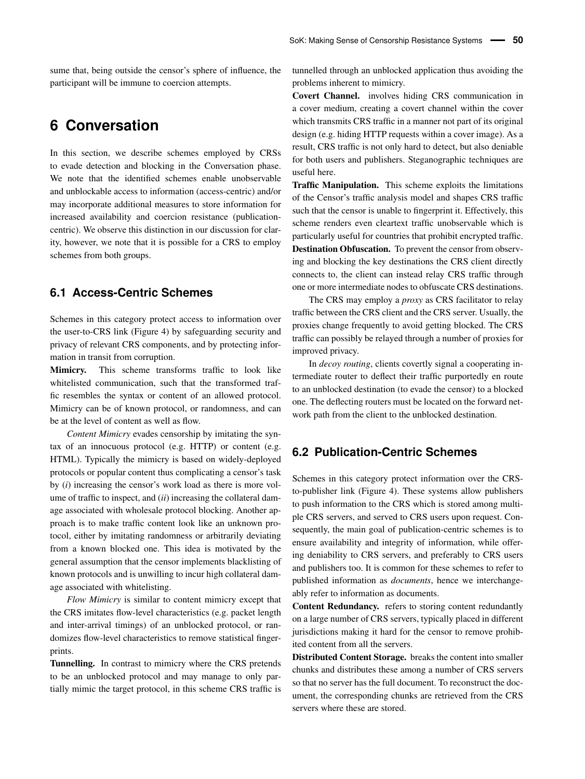sume that, being outside the censor's sphere of influence, the participant will be immune to coercion attempts.

## <span id="page-13-0"></span>**6 Conversation**

In this section, we describe schemes employed by CRSs to evade detection and blocking in the Conversation phase. We note that the identified schemes enable unobservable and unblockable access to information (access-centric) and/or may incorporate additional measures to store information for increased availability and coercion resistance (publicationcentric). We observe this distinction in our discussion for clarity, however, we note that it is possible for a CRS to employ schemes from both groups.

## **6.1 Access-Centric Schemes**

Schemes in this category protect access to information over the user-to-CRS link (Figure [4\)](#page-6-1) by safeguarding security and privacy of relevant CRS components, and by protecting information in transit from corruption.

Mimicry. This scheme transforms traffic to look like whitelisted communication, such that the transformed traffic resembles the syntax or content of an allowed protocol. Mimicry can be of known protocol, or randomness, and can be at the level of content as well as flow.

*Content Mimicry* evades censorship by imitating the syntax of an innocuous protocol (e.g. HTTP) or content (e.g. HTML). Typically the mimicry is based on widely-deployed protocols or popular content thus complicating a censor's task by (*i*) increasing the censor's work load as there is more volume of traffic to inspect, and (*ii*) increasing the collateral damage associated with wholesale protocol blocking. Another approach is to make traffic content look like an unknown protocol, either by imitating randomness or arbitrarily deviating from a known blocked one. This idea is motivated by the general assumption that the censor implements blacklisting of known protocols and is unwilling to incur high collateral damage associated with whitelisting.

*Flow Mimicry* is similar to content mimicry except that the CRS imitates flow-level characteristics (e.g. packet length and inter-arrival timings) of an unblocked protocol, or randomizes flow-level characteristics to remove statistical fingerprints.

Tunnelling. In contrast to mimicry where the CRS pretends to be an unblocked protocol and may manage to only partially mimic the target protocol, in this scheme CRS traffic is tunnelled through an unblocked application thus avoiding the problems inherent to mimicry.

Covert Channel. involves hiding CRS communication in a cover medium, creating a covert channel within the cover which transmits CRS traffic in a manner not part of its original design (e.g. hiding HTTP requests within a cover image). As a result, CRS traffic is not only hard to detect, but also deniable for both users and publishers. Steganographic techniques are useful here.

Traffic Manipulation. This scheme exploits the limitations of the Censor's traffic analysis model and shapes CRS traffic such that the censor is unable to fingerprint it. Effectively, this scheme renders even cleartext traffic unobservable which is particularly useful for countries that prohibit encrypted traffic. Destination Obfuscation. To prevent the censor from observing and blocking the key destinations the CRS client directly connects to, the client can instead relay CRS traffic through one or more intermediate nodes to obfuscate CRS destinations.

The CRS may employ a *proxy* as CRS facilitator to relay traffic between the CRS client and the CRS server. Usually, the proxies change frequently to avoid getting blocked. The CRS traffic can possibly be relayed through a number of proxies for improved privacy.

In *decoy routing*, clients covertly signal a cooperating intermediate router to deflect their traffic purportedly en route to an unblocked destination (to evade the censor) to a blocked one. The deflecting routers must be located on the forward network path from the client to the unblocked destination.

### **6.2 Publication-Centric Schemes**

Schemes in this category protect information over the CRSto-publisher link (Figure [4\)](#page-6-1). These systems allow publishers to push information to the CRS which is stored among multiple CRS servers, and served to CRS users upon request. Consequently, the main goal of publication-centric schemes is to ensure availability and integrity of information, while offering deniability to CRS servers, and preferably to CRS users and publishers too. It is common for these schemes to refer to published information as *documents*, hence we interchangeably refer to information as documents.

Content Redundancy. refers to storing content redundantly on a large number of CRS servers, typically placed in different jurisdictions making it hard for the censor to remove prohibited content from all the servers.

Distributed Content Storage. breaks the content into smaller chunks and distributes these among a number of CRS servers so that no server has the full document. To reconstruct the document, the corresponding chunks are retrieved from the CRS servers where these are stored.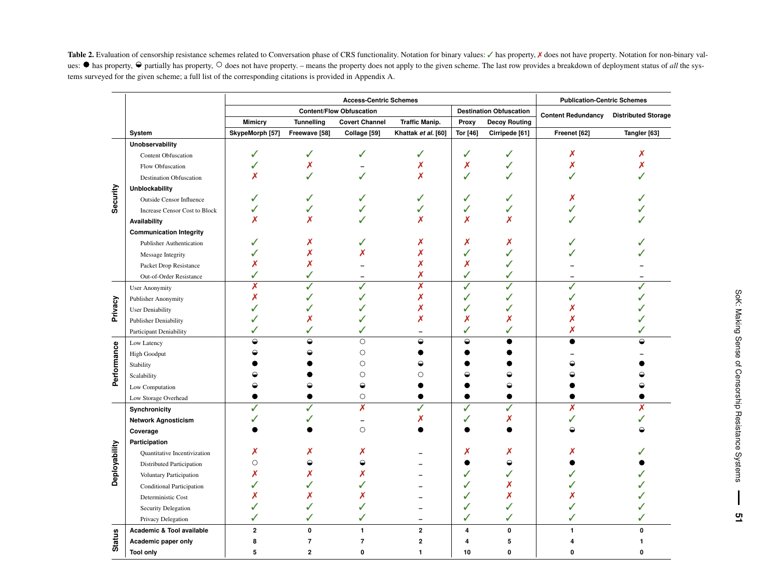<span id="page-14-0"></span>Table 2. Evaluation of censorship resistance schemes related to Conversation phase of CRS functionality. Notation for binary values: ✓ has property, **X** does not have property. Notation for non-binary values:  $\bullet$  has property,  $\bullet$  partially has property,  $\circ$  does not have property. – means the property does not apply to the given scheme. The last row provides a breakdown of deployment status of *all* the systems surveyed for the given scheme; <sup>a</sup> full list of the corresponding citations is provided in Appendix [A.](#page-24-3)

|               |                                  | <b>Access-Centric Schemes</b> |                                 |                         |                         |               |                                | <b>Publication-Centric Schemes</b>     |              |
|---------------|----------------------------------|-------------------------------|---------------------------------|-------------------------|-------------------------|---------------|--------------------------------|----------------------------------------|--------------|
|               |                                  |                               | <b>Content/Flow Obfuscation</b> |                         |                         |               | <b>Destination Obfuscation</b> | Content Redundancy Distributed Storage |              |
|               |                                  | <b>Mimicry</b>                | Tunnelling                      | <b>Covert Channel</b>   | <b>Traffic Manip.</b>   | Proxy         | <b>Decoy Routing</b>           |                                        |              |
|               | System                           | SkypeMorph [57]               | Freewave [58]                   | Collage [59]            | Khattak et al. [60]     | Tor [46]      | Cirripede [61]                 | Freenet [62]                           | Tangler [63] |
|               | Unobservability                  |                               |                                 |                         |                         |               |                                |                                        |              |
|               | <b>Content Obfuscation</b>       | ✓                             | ✓                               | ✓                       | ✓                       | ✓             | ✓                              | Х                                      | х            |
|               | Flow Obfuscation                 | $\checkmark$                  | Х                               |                         | Х                       | Х             | ✓                              | Х                                      |              |
|               | <b>Destination Obfuscation</b>   | X                             |                                 |                         | X                       | $\checkmark$  |                                |                                        |              |
|               | <b>Unblockability</b>            |                               |                                 |                         |                         |               |                                |                                        |              |
| Security      | Outside Censor Influence         |                               |                                 |                         |                         |               |                                |                                        |              |
|               | Increase Censor Cost to Block    |                               |                                 |                         |                         | ✓             |                                |                                        |              |
|               | Availability                     | X                             |                                 |                         | X                       | X             | X                              |                                        |              |
|               | <b>Communication Integrity</b>   |                               |                                 |                         |                         |               |                                |                                        |              |
|               | Publisher Authentication         |                               |                                 |                         | Х                       | х             | Х                              |                                        |              |
|               | Message Integrity                |                               |                                 | Х                       | Х                       | ✓             |                                |                                        |              |
|               | Packet Drop Resistance           | Х                             |                                 |                         | X                       | Х             | $\checkmark$                   |                                        |              |
|               | Out-of-Order Resistance          | ✓                             |                                 |                         | Х                       | ✓             | $\checkmark$                   |                                        |              |
|               | <b>User Anonymity</b>            | x                             | ✓                               | ✓                       | Х                       | ✓             | ✓                              | ✓                                      |              |
|               | Publisher Anonymity              | Х                             |                                 |                         | Х                       | ✓             | ✓                              |                                        |              |
| Privacy       | <b>User Deniability</b>          |                               |                                 |                         | X                       |               |                                |                                        |              |
|               | Publisher Deniability            |                               |                                 |                         | X                       | Х             | Х                              |                                        |              |
|               | Participant Deniability          | ✓                             |                                 | ✓                       | $\overline{a}$          | ✓             |                                | Х                                      |              |
|               | Low Latency                      | $\bullet$                     | ◒                               | $\circ$                 | $\hat{\mathbf{r}}$      | $\Rightarrow$ |                                |                                        |              |
|               | <b>High Goodput</b>              |                               |                                 | $\circ$                 |                         |               |                                |                                        |              |
|               | Stability                        |                               |                                 | О                       |                         |               |                                |                                        |              |
| Performance   | Scalability                      |                               |                                 | ∩                       | C                       |               |                                |                                        |              |
|               | Low Computation                  |                               |                                 |                         |                         |               |                                |                                        |              |
|               | Low Storage Overhead             |                               |                                 | $\circ$                 |                         |               |                                |                                        |              |
|               | Synchronicity                    | ℐ                             |                                 | $\overline{\textsf{x}}$ | ℐ                       | J             | ℐ                              | X                                      |              |
|               | <b>Network Agnosticism</b>       |                               |                                 |                         | х                       | $\checkmark$  |                                |                                        |              |
|               | Coverage                         |                               |                                 | $\circ$                 |                         |               |                                |                                        |              |
|               | Participation                    |                               |                                 |                         |                         |               |                                |                                        |              |
|               | Quantitative Incentivization     | Х                             |                                 |                         |                         | Х             |                                |                                        |              |
|               | Distributed Participation        | $\circ$                       |                                 |                         |                         |               | ⊖                              |                                        |              |
| Deployability | Voluntary Participation          | x                             |                                 |                         |                         |               |                                |                                        |              |
|               | <b>Conditional Participation</b> |                               |                                 |                         |                         |               | Х                              |                                        |              |
|               | Deterministic Cost               | Х                             |                                 |                         |                         |               | Х                              |                                        |              |
|               | Security Delegation              |                               |                                 |                         |                         | ✓             |                                |                                        |              |
|               | Privacy Delegation               | ✓                             | ✓                               | ✓                       |                         | ✓             | $\checkmark$                   | ✓                                      |              |
|               | Academic & Tool available        | $\overline{\mathbf{2}}$       | $\mathbf{0}$                    | $\mathbf{1}$            | $\overline{\mathbf{2}}$ | 4             | 0                              | 1                                      | 0            |
| <b>Status</b> | Academic paper only              | 8                             | $\overline{7}$                  | $\overline{7}$          | $\mathbf{2}$            | 4             | 5                              |                                        |              |
|               | <b>Tool only</b>                 | 5                             | $\overline{\mathbf{2}}$         | $\mathbf{0}$            | 1                       | 10            | O                              | O                                      |              |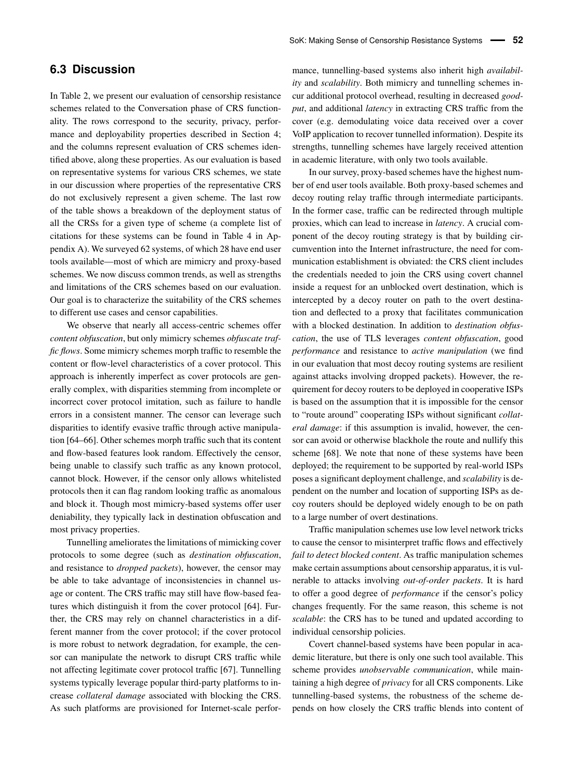## <span id="page-15-0"></span>**6.3 Discussion**

In Table [2,](#page-14-0) we present our evaluation of censorship resistance schemes related to the Conversation phase of CRS functionality. The rows correspond to the security, privacy, performance and deployability properties described in Section [4;](#page-6-0) and the columns represent evaluation of CRS schemes identified above, along these properties. As our evaluation is based on representative systems for various CRS schemes, we state in our discussion where properties of the representative CRS do not exclusively represent a given scheme. The last row of the table shows a breakdown of the deployment status of all the CRSs for a given type of scheme (a complete list of citations for these systems can be found in Table [4](#page-24-4) in Appendix [A\)](#page-24-1). We surveyed 62 systems, of which 28 have end user tools available—most of which are mimicry and proxy-based schemes. We now discuss common trends, as well as strengths and limitations of the CRS schemes based on our evaluation. Our goal is to characterize the suitability of the CRS schemes to different use cases and censor capabilities.

We observe that nearly all access-centric schemes offer *content obfuscation*, but only mimicry schemes *obfuscate traffic flows*. Some mimicry schemes morph traffic to resemble the content or flow-level characteristics of a cover protocol. This approach is inherently imperfect as cover protocols are generally complex, with disparities stemming from incomplete or incorrect cover protocol imitation, such as failure to handle errors in a consistent manner. The censor can leverage such disparities to identify evasive traffic through active manipulation [\[64–](#page-21-31)[66\]](#page-21-32). Other schemes morph traffic such that its content and flow-based features look random. Effectively the censor, being unable to classify such traffic as any known protocol, cannot block. However, if the censor only allows whitelisted protocols then it can flag random looking traffic as anomalous and block it. Though most mimicry-based systems offer user deniability, they typically lack in destination obfuscation and most privacy properties.

Tunnelling ameliorates the limitations of mimicking cover protocols to some degree (such as *destination obfuscation*, and resistance to *dropped packets*), however, the censor may be able to take advantage of inconsistencies in channel usage or content. The CRS traffic may still have flow-based features which distinguish it from the cover protocol [\[64\]](#page-21-31). Further, the CRS may rely on channel characteristics in a different manner from the cover protocol; if the cover protocol is more robust to network degradation, for example, the censor can manipulate the network to disrupt CRS traffic while not affecting legitimate cover protocol traffic [\[67\]](#page-21-33). Tunnelling systems typically leverage popular third-party platforms to increase *collateral damage* associated with blocking the CRS. As such platforms are provisioned for Internet-scale performance, tunnelling-based systems also inherit high *availability* and *scalability*. Both mimicry and tunnelling schemes incur additional protocol overhead, resulting in decreased *goodput*, and additional *latency* in extracting CRS traffic from the cover (e.g. demodulating voice data received over a cover VoIP application to recover tunnelled information). Despite its strengths, tunnelling schemes have largely received attention in academic literature, with only two tools available.

In our survey, proxy-based schemes have the highest number of end user tools available. Both proxy-based schemes and decoy routing relay traffic through intermediate participants. In the former case, traffic can be redirected through multiple proxies, which can lead to increase in *latency*. A crucial component of the decoy routing strategy is that by building circumvention into the Internet infrastructure, the need for communication establishment is obviated: the CRS client includes the credentials needed to join the CRS using covert channel inside a request for an unblocked overt destination, which is intercepted by a decoy router on path to the overt destination and deflected to a proxy that facilitates communication with a blocked destination. In addition to *destination obfuscation*, the use of TLS leverages *content obfuscation*, good *performance* and resistance to *active manipulation* (we find in our evaluation that most decoy routing systems are resilient against attacks involving dropped packets). However, the requirement for decoy routers to be deployed in cooperative ISPs is based on the assumption that it is impossible for the censor to "route around" cooperating ISPs without significant *collateral damage*: if this assumption is invalid, however, the censor can avoid or otherwise blackhole the route and nullify this scheme [\[68\]](#page-21-34). We note that none of these systems have been deployed; the requirement to be supported by real-world ISPs poses a significant deployment challenge, and *scalability* is dependent on the number and location of supporting ISPs as decoy routers should be deployed widely enough to be on path to a large number of overt destinations.

Traffic manipulation schemes use low level network tricks to cause the censor to misinterpret traffic flows and effectively *fail to detect blocked content*. As traffic manipulation schemes make certain assumptions about censorship apparatus, it is vulnerable to attacks involving *out-of-order packets*. It is hard to offer a good degree of *performance* if the censor's policy changes frequently. For the same reason, this scheme is not *scalable*: the CRS has to be tuned and updated according to individual censorship policies.

Covert channel-based systems have been popular in academic literature, but there is only one such tool available. This scheme provides *unobservable communication*, while maintaining a high degree of *privacy* for all CRS components. Like tunnelling-based systems, the robustness of the scheme depends on how closely the CRS traffic blends into content of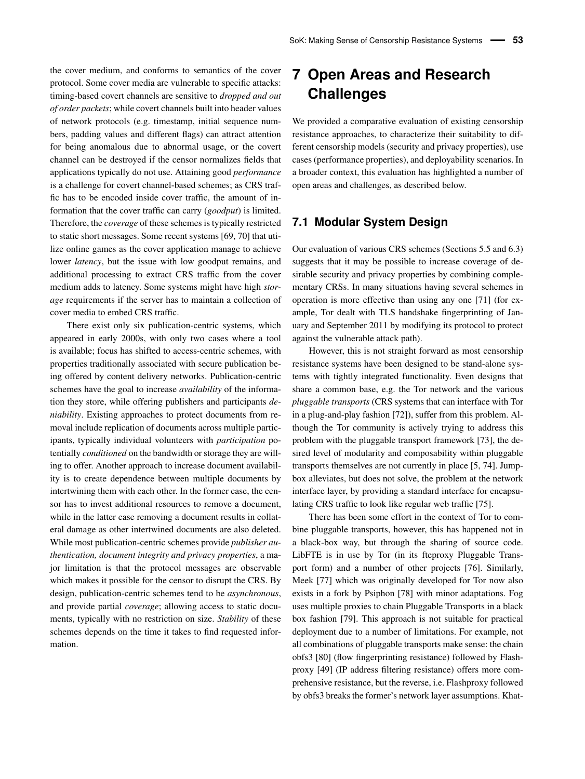the cover medium, and conforms to semantics of the cover protocol. Some cover media are vulnerable to specific attacks: timing-based covert channels are sensitive to *dropped and out of order packets*; while covert channels built into header values of network protocols (e.g. timestamp, initial sequence numbers, padding values and different flags) can attract attention for being anomalous due to abnormal usage, or the covert channel can be destroyed if the censor normalizes fields that applications typically do not use. Attaining good *performance* is a challenge for covert channel-based schemes; as CRS traffic has to be encoded inside cover traffic, the amount of information that the cover traffic can carry (*goodput*) is limited. Therefore, the *coverage* of these schemes is typically restricted to static short messages. Some recent systems [\[69,](#page-22-0) [70\]](#page-22-1) that utilize online games as the cover application manage to achieve lower *latency*, but the issue with low goodput remains, and additional processing to extract CRS traffic from the cover medium adds to latency. Some systems might have high *storage* requirements if the server has to maintain a collection of cover media to embed CRS traffic.

There exist only six publication-centric systems, which appeared in early 2000s, with only two cases where a tool is available; focus has shifted to access-centric schemes, with properties traditionally associated with secure publication being offered by content delivery networks. Publication-centric schemes have the goal to increase *availability* of the information they store, while offering publishers and participants *deniability*. Existing approaches to protect documents from removal include replication of documents across multiple participants, typically individual volunteers with *participation* potentially *conditioned* on the bandwidth or storage they are willing to offer. Another approach to increase document availability is to create dependence between multiple documents by intertwining them with each other. In the former case, the censor has to invest additional resources to remove a document, while in the latter case removing a document results in collateral damage as other intertwined documents are also deleted. While most publication-centric schemes provide *publisher authentication, document integrity and privacy properties*, a major limitation is that the protocol messages are observable which makes it possible for the censor to disrupt the CRS. By design, publication-centric schemes tend to be *asynchronous*, and provide partial *coverage*; allowing access to static documents, typically with no restriction on size. *Stability* of these schemes depends on the time it takes to find requested information.

# <span id="page-16-0"></span>**7 Open Areas and Research Challenges**

We provided a comparative evaluation of existing censorship resistance approaches, to characterize their suitability to different censorship models (security and privacy properties), use cases (performance properties), and deployability scenarios. In a broader context, this evaluation has highlighted a number of open areas and challenges, as described below.

#### **7.1 Modular System Design**

Our evaluation of various CRS schemes (Sections [5.5](#page-10-0) and [6.3\)](#page-15-0) suggests that it may be possible to increase coverage of desirable security and privacy properties by combining complementary CRSs. In many situations having several schemes in operation is more effective than using any one [\[71\]](#page-22-2) (for example, Tor dealt with TLS handshake fingerprinting of January and September 2011 by modifying its protocol to protect against the vulnerable attack path).

However, this is not straight forward as most censorship resistance systems have been designed to be stand-alone systems with tightly integrated functionality. Even designs that share a common base, e.g. the Tor network and the various *pluggable transports* (CRS systems that can interface with Tor in a plug-and-play fashion [\[72\]](#page-22-3)), suffer from this problem. Although the Tor community is actively trying to address this problem with the pluggable transport framework [\[73\]](#page-22-4), the desired level of modularity and composability within pluggable transports themselves are not currently in place [\[5,](#page-20-4) [74\]](#page-22-5). Jumpbox alleviates, but does not solve, the problem at the network interface layer, by providing a standard interface for encapsulating CRS traffic to look like regular web traffic [\[75\]](#page-22-6).

There has been some effort in the context of Tor to combine pluggable transports, however, this has happened not in a black-box way, but through the sharing of source code. LibFTE is in use by Tor (in its fteproxy Pluggable Transport form) and a number of other projects [\[76\]](#page-22-7). Similarly, Meek [\[77\]](#page-22-8) which was originally developed for Tor now also exists in a fork by Psiphon [\[78\]](#page-22-9) with minor adaptations. Fog uses multiple proxies to chain Pluggable Transports in a black box fashion [\[79\]](#page-22-10). This approach is not suitable for practical deployment due to a number of limitations. For example, not all combinations of pluggable transports make sense: the chain obfs3 [\[80\]](#page-22-11) (flow fingerprinting resistance) followed by Flashproxy [\[49\]](#page-21-35) (IP address filtering resistance) offers more comprehensive resistance, but the reverse, i.e. Flashproxy followed by obfs3 breaks the former's network layer assumptions. Khat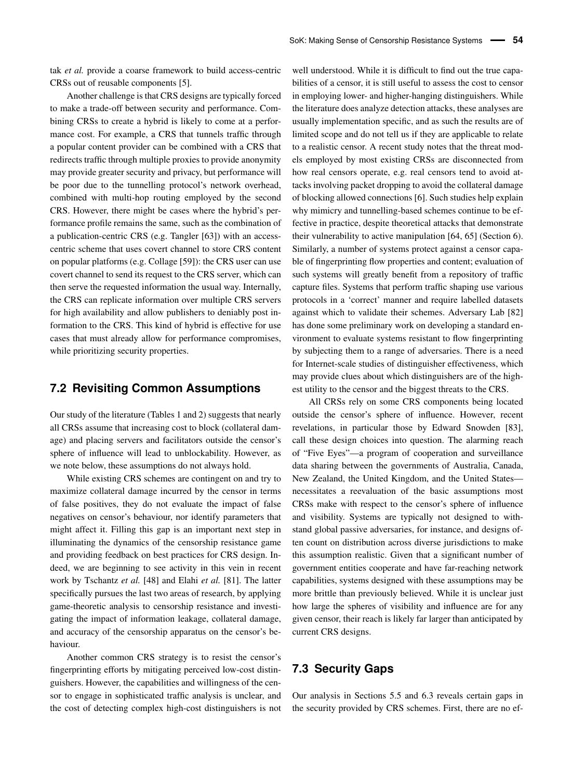tak *et al.* provide a coarse framework to build access-centric CRSs out of reusable components [\[5\]](#page-20-4).

Another challenge is that CRS designs are typically forced to make a trade-off between security and performance. Combining CRSs to create a hybrid is likely to come at a performance cost. For example, a CRS that tunnels traffic through a popular content provider can be combined with a CRS that redirects traffic through multiple proxies to provide anonymity may provide greater security and privacy, but performance will be poor due to the tunnelling protocol's network overhead, combined with multi-hop routing employed by the second CRS. However, there might be cases where the hybrid's performance profile remains the same, such as the combination of a publication-centric CRS (e.g. Tangler [\[63\]](#page-21-36)) with an accesscentric scheme that uses covert channel to store CRS content on popular platforms (e.g. Collage [\[59\]](#page-21-37)): the CRS user can use covert channel to send its request to the CRS server, which can then serve the requested information the usual way. Internally, the CRS can replicate information over multiple CRS servers for high availability and allow publishers to deniably post information to the CRS. This kind of hybrid is effective for use cases that must already allow for performance compromises, while prioritizing security properties.

### **7.2 Revisiting Common Assumptions**

Our study of the literature (Tables [1](#page-11-0) and [2\)](#page-14-0) suggests that nearly all CRSs assume that increasing cost to block (collateral damage) and placing servers and facilitators outside the censor's sphere of influence will lead to unblockability. However, as we note below, these assumptions do not always hold.

While existing CRS schemes are contingent on and try to maximize collateral damage incurred by the censor in terms of false positives, they do not evaluate the impact of false negatives on censor's behaviour, nor identify parameters that might affect it. Filling this gap is an important next step in illuminating the dynamics of the censorship resistance game and providing feedback on best practices for CRS design. Indeed, we are beginning to see activity in this vein in recent work by Tschantz *et al.* [\[48\]](#page-21-13) and Elahi *et al.* [\[81\]](#page-22-12). The latter specifically pursues the last two areas of research, by applying game-theoretic analysis to censorship resistance and investigating the impact of information leakage, collateral damage, and accuracy of the censorship apparatus on the censor's behaviour.

Another common CRS strategy is to resist the censor's fingerprinting efforts by mitigating perceived low-cost distinguishers. However, the capabilities and willingness of the censor to engage in sophisticated traffic analysis is unclear, and the cost of detecting complex high-cost distinguishers is not well understood. While it is difficult to find out the true capabilities of a censor, it is still useful to assess the cost to censor in employing lower- and higher-hanging distinguishers. While the literature does analyze detection attacks, these analyses are usually implementation specific, and as such the results are of limited scope and do not tell us if they are applicable to relate to a realistic censor. A recent study notes that the threat models employed by most existing CRSs are disconnected from how real censors operate, e.g. real censors tend to avoid attacks involving packet dropping to avoid the collateral damage of blocking allowed connections [\[6\]](#page-20-5). Such studies help explain why mimicry and tunnelling-based schemes continue to be effective in practice, despite theoretical attacks that demonstrate their vulnerability to active manipulation [\[64,](#page-21-31) [65\]](#page-21-38) (Section [6\)](#page-13-0). Similarly, a number of systems protect against a censor capable of fingerprinting flow properties and content; evaluation of such systems will greatly benefit from a repository of traffic capture files. Systems that perform traffic shaping use various protocols in a 'correct' manner and require labelled datasets against which to validate their schemes. Adversary Lab [\[82\]](#page-22-13) has done some preliminary work on developing a standard environment to evaluate systems resistant to flow fingerprinting by subjecting them to a range of adversaries. There is a need for Internet-scale studies of distinguisher effectiveness, which may provide clues about which distinguishers are of the highest utility to the censor and the biggest threats to the CRS.

All CRSs rely on some CRS components being located outside the censor's sphere of influence. However, recent revelations, in particular those by Edward Snowden [\[83\]](#page-22-14), call these design choices into question. The alarming reach of "Five Eyes"—a program of cooperation and surveillance data sharing between the governments of Australia, Canada, New Zealand, the United Kingdom, and the United States necessitates a reevaluation of the basic assumptions most CRSs make with respect to the censor's sphere of influence and visibility. Systems are typically not designed to withstand global passive adversaries, for instance, and designs often count on distribution across diverse jurisdictions to make this assumption realistic. Given that a significant number of government entities cooperate and have far-reaching network capabilities, systems designed with these assumptions may be more brittle than previously believed. While it is unclear just how large the spheres of visibility and influence are for any given censor, their reach is likely far larger than anticipated by current CRS designs.

### **7.3 Security Gaps**

Our analysis in Sections [5.5](#page-10-0) and [6.3](#page-15-0) reveals certain gaps in the security provided by CRS schemes. First, there are no ef-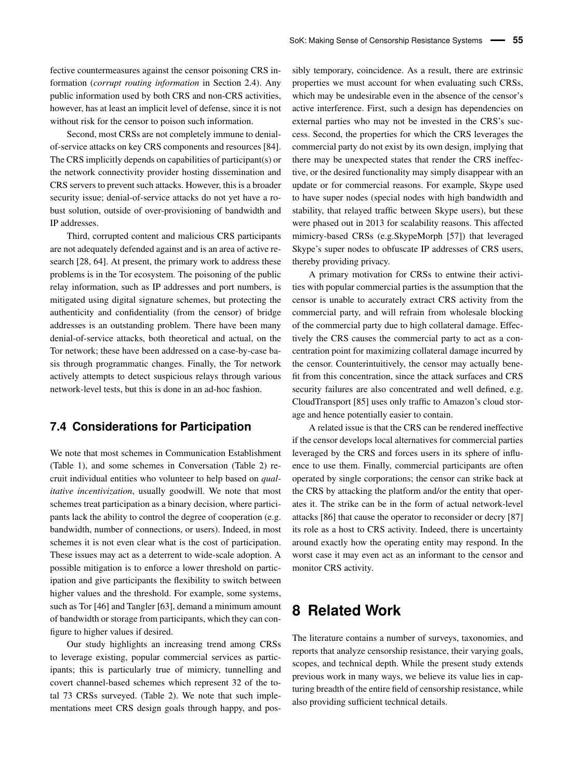fective countermeasures against the censor poisoning CRS information (*corrupt routing information* in Section [2.4\)](#page-2-2). Any public information used by both CRS and non-CRS activities, however, has at least an implicit level of defense, since it is not without risk for the censor to poison such information.

Second, most CRSs are not completely immune to denialof-service attacks on key CRS components and resources [\[84\]](#page-22-15). The CRS implicitly depends on capabilities of participant(s) or the network connectivity provider hosting dissemination and CRS servers to prevent such attacks. However, this is a broader security issue; denial-of-service attacks do not yet have a robust solution, outside of over-provisioning of bandwidth and IP addresses.

Third, corrupted content and malicious CRS participants are not adequately defended against and is an area of active research [\[28,](#page-20-23) [64\]](#page-21-31). At present, the primary work to address these problems is in the Tor ecosystem. The poisoning of the public relay information, such as IP addresses and port numbers, is mitigated using digital signature schemes, but protecting the authenticity and confidentiality (from the censor) of bridge addresses is an outstanding problem. There have been many denial-of-service attacks, both theoretical and actual, on the Tor network; these have been addressed on a case-by-case basis through programmatic changes. Finally, the Tor network actively attempts to detect suspicious relays through various network-level tests, but this is done in an ad-hoc fashion.

## **7.4 Considerations for Participation**

We note that most schemes in Communication Establishment (Table [1\)](#page-11-0), and some schemes in Conversation (Table [2\)](#page-14-0) recruit individual entities who volunteer to help based on *qualitative incentivization*, usually goodwill. We note that most schemes treat participation as a binary decision, where participants lack the ability to control the degree of cooperation (e.g. bandwidth, number of connections, or users). Indeed, in most schemes it is not even clear what is the cost of participation. These issues may act as a deterrent to wide-scale adoption. A possible mitigation is to enforce a lower threshold on participation and give participants the flexibility to switch between higher values and the threshold. For example, some systems, such as Tor [\[46\]](#page-21-11) and Tangler [\[63\]](#page-21-36), demand a minimum amount of bandwidth or storage from participants, which they can configure to higher values if desired.

Our study highlights an increasing trend among CRSs to leverage existing, popular commercial services as participants; this is particularly true of mimicry, tunnelling and covert channel-based schemes which represent 32 of the total 73 CRSs surveyed. (Table [2\)](#page-14-0). We note that such implementations meet CRS design goals through happy, and possibly temporary, coincidence. As a result, there are extrinsic properties we must account for when evaluating such CRSs, which may be undesirable even in the absence of the censor's active interference. First, such a design has dependencies on external parties who may not be invested in the CRS's success. Second, the properties for which the CRS leverages the commercial party do not exist by its own design, implying that there may be unexpected states that render the CRS ineffective, or the desired functionality may simply disappear with an update or for commercial reasons. For example, Skype used to have super nodes (special nodes with high bandwidth and stability, that relayed traffic between Skype users), but these were phased out in 2013 for scalability reasons. This affected mimicry-based CRSs (e.g.SkypeMorph [\[57\]](#page-21-39)) that leveraged Skype's super nodes to obfuscate IP addresses of CRS users, thereby providing privacy.

A primary motivation for CRSs to entwine their activities with popular commercial parties is the assumption that the censor is unable to accurately extract CRS activity from the commercial party, and will refrain from wholesale blocking of the commercial party due to high collateral damage. Effectively the CRS causes the commercial party to act as a concentration point for maximizing collateral damage incurred by the censor. Counterintuitively, the censor may actually benefit from this concentration, since the attack surfaces and CRS security failures are also concentrated and well defined, e.g. CloudTransport [\[85\]](#page-22-16) uses only traffic to Amazon's cloud storage and hence potentially easier to contain.

A related issue is that the CRS can be rendered ineffective if the censor develops local alternatives for commercial parties leveraged by the CRS and forces users in its sphere of influence to use them. Finally, commercial participants are often operated by single corporations; the censor can strike back at the CRS by attacking the platform and/or the entity that operates it. The strike can be in the form of actual network-level attacks [\[86\]](#page-22-17) that cause the operator to reconsider or decry [\[87\]](#page-22-18) its role as a host to CRS activity. Indeed, there is uncertainty around exactly how the operating entity may respond. In the worst case it may even act as an informant to the censor and monitor CRS activity.

## **8 Related Work**

The literature contains a number of surveys, taxonomies, and reports that analyze censorship resistance, their varying goals, scopes, and technical depth. While the present study extends previous work in many ways, we believe its value lies in capturing breadth of the entire field of censorship resistance, while also providing sufficient technical details.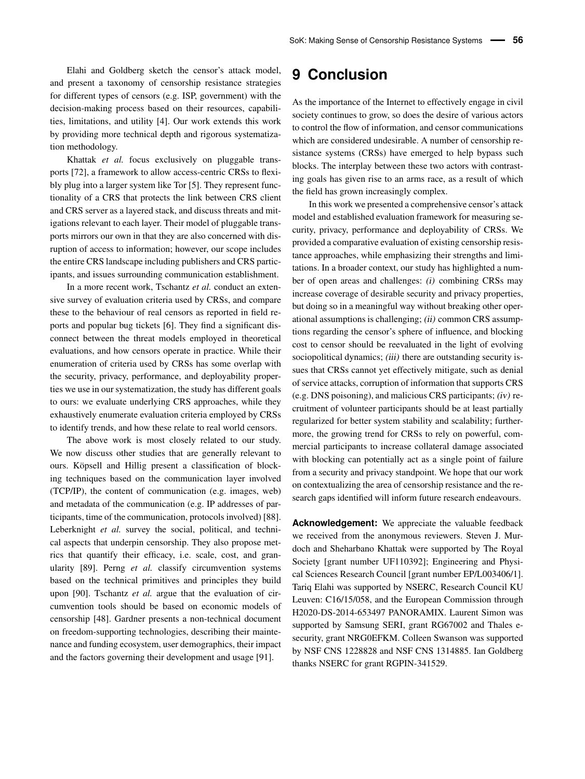Elahi and Goldberg sketch the censor's attack model, and present a taxonomy of censorship resistance strategies for different types of censors (e.g. ISP, government) with the decision-making process based on their resources, capabilities, limitations, and utility [\[4\]](#page-20-3). Our work extends this work by providing more technical depth and rigorous systematization methodology.

Khattak *et al.* focus exclusively on pluggable transports [\[72\]](#page-22-3), a framework to allow access-centric CRSs to flexibly plug into a larger system like Tor [\[5\]](#page-20-4). They represent functionality of a CRS that protects the link between CRS client and CRS server as a layered stack, and discuss threats and mitigations relevant to each layer. Their model of pluggable transports mirrors our own in that they are also concerned with disruption of access to information; however, our scope includes the entire CRS landscape including publishers and CRS participants, and issues surrounding communication establishment.

In a more recent work, Tschantz *et al.* conduct an extensive survey of evaluation criteria used by CRSs, and compare these to the behaviour of real censors as reported in field reports and popular bug tickets [\[6\]](#page-20-5). They find a significant disconnect between the threat models employed in theoretical evaluations, and how censors operate in practice. While their enumeration of criteria used by CRSs has some overlap with the security, privacy, performance, and deployability properties we use in our systematization, the study has different goals to ours: we evaluate underlying CRS approaches, while they exhaustively enumerate evaluation criteria employed by CRSs to identify trends, and how these relate to real world censors.

The above work is most closely related to our study. We now discuss other studies that are generally relevant to ours. Köpsell and Hillig present a classification of blocking techniques based on the communication layer involved (TCP/IP), the content of communication (e.g. images, web) and metadata of the communication (e.g. IP addresses of participants, time of the communication, protocols involved) [\[88\]](#page-22-19). Leberknight *et al.* survey the social, political, and technical aspects that underpin censorship. They also propose metrics that quantify their efficacy, i.e. scale, cost, and granularity [\[89\]](#page-22-20). Perng *et al.* classify circumvention systems based on the technical primitives and principles they build upon [\[90\]](#page-22-21). Tschantz *et al.* argue that the evaluation of circumvention tools should be based on economic models of censorship [\[48\]](#page-21-13). Gardner presents a non-technical document on freedom-supporting technologies, describing their maintenance and funding ecosystem, user demographics, their impact and the factors governing their development and usage [\[91\]](#page-22-22).

## **9 Conclusion**

As the importance of the Internet to effectively engage in civil society continues to grow, so does the desire of various actors to control the flow of information, and censor communications which are considered undesirable. A number of censorship resistance systems (CRSs) have emerged to help bypass such blocks. The interplay between these two actors with contrasting goals has given rise to an arms race, as a result of which the field has grown increasingly complex.

In this work we presented a comprehensive censor's attack model and established evaluation framework for measuring security, privacy, performance and deployability of CRSs. We provided a comparative evaluation of existing censorship resistance approaches, while emphasizing their strengths and limitations. In a broader context, our study has highlighted a number of open areas and challenges: (i) combining CRSs may increase coverage of desirable security and privacy properties, but doing so in a meaningful way without breaking other operational assumptions is challenging; (ii) common CRS assumptions regarding the censor's sphere of influence, and blocking cost to censor should be reevaluated in the light of evolving sociopolitical dynamics; *(iii)* there are outstanding security issues that CRSs cannot yet effectively mitigate, such as denial of service attacks, corruption of information that supports CRS (e.g. DNS poisoning), and malicious CRS participants; (iv) recruitment of volunteer participants should be at least partially regularized for better system stability and scalability; furthermore, the growing trend for CRSs to rely on powerful, commercial participants to increase collateral damage associated with blocking can potentially act as a single point of failure from a security and privacy standpoint. We hope that our work on contextualizing the area of censorship resistance and the research gaps identified will inform future research endeavours.

**Acknowledgement:** We appreciate the valuable feedback we received from the anonymous reviewers. Steven J. Murdoch and Sheharbano Khattak were supported by The Royal Society [grant number UF110392]; Engineering and Physical Sciences Research Council [grant number EP/L003406/1]. Tariq Elahi was supported by NSERC, Research Council KU Leuven: C16/15/058, and the European Commission through H2020-DS-2014-653497 PANORAMIX. Laurent Simon was supported by Samsung SERI, grant RG67002 and Thales esecurity, grant NRG0EFKM. Colleen Swanson was supported by NSF CNS 1228828 and NSF CNS 1314885. Ian Goldberg thanks NSERC for grant RGPIN-341529.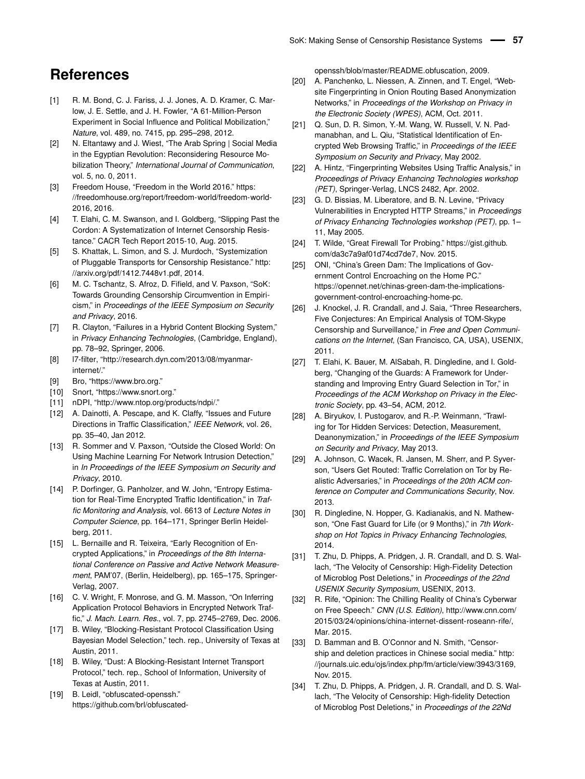## <span id="page-20-29"></span>**References**

- <span id="page-20-0"></span>[1] R. M. Bond, C. J. Fariss, J. J. Jones, A. D. Kramer, C. Marlow, J. E. Settle, and J. H. Fowler, "A 61-Million-Person Experiment in Social Influence and Political Mobilization," *Nature*, vol. 489, no. 7415, pp. 295–298, 2012.
- <span id="page-20-1"></span>[2] N. Eltantawy and J. Wiest, "The Arab Spring | Social Media in the Egyptian Revolution: Reconsidering Resource Mobilization Theory," *International Journal of Communication*, vol. 5, no. 0, 2011.
- <span id="page-20-2"></span>[3] Freedom House, "Freedom in the World 2016." [https:](https://freedomhouse.org/report/freedom-world/freedom-world-2016) [//freedomhouse.org/report/freedom-world/freedom-world-](https://freedomhouse.org/report/freedom-world/freedom-world-2016)[2016,](https://freedomhouse.org/report/freedom-world/freedom-world-2016) 2016.
- <span id="page-20-3"></span>[4] T. Elahi, C. M. Swanson, and I. Goldberg, "Slipping Past the Cordon: A Systematization of Internet Censorship Resistance." CACR Tech Report 2015-10, Aug. 2015.
- <span id="page-20-4"></span>[5] S. Khattak, L. Simon, and S. J. Murdoch, "Systemization of Pluggable Transports for Censorship Resistance." [http:](http://arxiv.org/pdf/1412.7448v1.pdf) [//arxiv.org/pdf/1412.7448v1.pdf,](http://arxiv.org/pdf/1412.7448v1.pdf) 2014.
- <span id="page-20-5"></span>[6] M. C. Tschantz, S. Afroz, D. Fifield, and V. Paxson, "SoK: Towards Grounding Censorship Circumvention in Empiricism," in *Proceedings of the IEEE Symposium on Security and Privacy*, 2016.
- <span id="page-20-6"></span>[7] R. Clayton, "Failures in a Hybrid Content Blocking System," in *Privacy Enhancing Technologies*, (Cambridge, England), pp. 78–92, Springer, 2006.
- <span id="page-20-7"></span>[8] l7-filter, ["http://research.dyn.com/2013/08/myanmar](http://research.dyn.com/2013/08/myanmar-internet/)[internet/.](http://research.dyn.com/2013/08/myanmar-internet/)"
- [9] Bro, ["https://www.bro.org.](https://www.bro.org)"
- [10] Snort, ["https://www.snort.org.](https://www.snort.org)"
- <span id="page-20-8"></span>[11] nDPI, ["http://www.ntop.org/products/ndpi/.](http://www.ntop.org/products/ndpi/)"
- <span id="page-20-9"></span>[12] A. Dainotti, A. Pescape, and K. Claffy, "Issues and Future Directions in Traffic Classification," *IEEE Network*, vol. 26, pp. 35–40, Jan 2012.
- <span id="page-20-10"></span>[13] R. Sommer and V. Paxson, "Outside the Closed World: On Using Machine Learning For Network Intrusion Detection," in *In Proceedings of the IEEE Symposium on Security and Privacy*, 2010.
- <span id="page-20-11"></span>[14] P. Dorfinger, G. Panholzer, and W. John, "Entropy Estimation for Real-Time Encrypted Traffic Identification," in *Traffic Monitoring and Analysis*, vol. 6613 of *Lecture Notes in Computer Science*, pp. 164–171, Springer Berlin Heidelberg, 2011.
- <span id="page-20-12"></span>[15] L. Bernaille and R. Teixeira, "Early Recognition of Encrypted Applications," in *Proceedings of the 8th International Conference on Passive and Active Network Measurement*, PAM'07, (Berlin, Heidelberg), pp. 165–175, Springer-Verlag, 2007.
- <span id="page-20-13"></span>[16] C. V. Wright, F. Monrose, and G. M. Masson, "On Inferring Application Protocol Behaviors in Encrypted Network Traffic," *J. Mach. Learn. Res.*, vol. 7, pp. 2745–2769, Dec. 2006.
- <span id="page-20-14"></span>[17] B. Wiley, "Blocking-Resistant Protocol Classification Using Bayesian Model Selection," tech. rep., University of Texas at Austin, 2011.
- <span id="page-20-15"></span>[18] B. Wiley, "Dust: A Blocking-Resistant Internet Transport Protocol," tech. rep., School of Information, University of Texas at Austin, 2011.
- <span id="page-20-16"></span>[19] B. Leidl, "obfuscated-openssh." https://github.com/brl/obfuscated-

openssh/blob/master/README.obfuscation, 2009.

- <span id="page-20-17"></span>[20] A. Panchenko, L. Niessen, A. Zinnen, and T. Engel, "Website Fingerprinting in Onion Routing Based Anonymization Networks," in *Proceedings of the Workshop on Privacy in the Electronic Society (WPES)*, ACM, Oct. 2011.
- [21] Q. Sun, D. R. Simon, Y.-M. Wang, W. Russell, V. N. Padmanabhan, and L. Qiu, "Statistical Identification of Encrypted Web Browsing Traffic," in *Proceedings of the IEEE Symposium on Security and Privacy*, May 2002.
- [22] A. Hintz, "Fingerprinting Websites Using Traffic Analysis," in *Proceedings of Privacy Enhancing Technologies workshop (PET)*, Springer-Verlag, LNCS 2482, Apr. 2002.
- <span id="page-20-18"></span>[23] G. D. Bissias, M. Liberatore, and B. N. Levine, "Privacy Vulnerabilities in Encrypted HTTP Streams," in *Proceedings of Privacy Enhancing Technologies workshop (PET)*, pp. 1– 11, May 2005.
- <span id="page-20-19"></span>[24] T. Wilde, "Great Firewall Tor Probing." [https://gist.github.](https://gist.github.com/da3c7a9af01d74cd7de7) [com/da3c7a9af01d74cd7de7,](https://gist.github.com/da3c7a9af01d74cd7de7) Nov. 2015.
- <span id="page-20-20"></span>[25] ONI, "China's Green Dam: The Implications of Government Control Encroaching on the Home PC." https://opennet.net/chinas-green-dam-the-implicationsgovernment-control-encroaching-home-pc.
- <span id="page-20-21"></span>[26] J. Knockel, J. R. Crandall, and J. Saia, "Three Researchers, Five Conjectures: An Empirical Analysis of TOM-Skype Censorship and Surveillance," in *Free and Open Communications on the Internet*, (San Francisco, CA, USA), USENIX, 2011.
- <span id="page-20-22"></span>[27] T. Elahi, K. Bauer, M. AlSabah, R. Dingledine, and I. Goldberg, "Changing of the Guards: A Framework for Understanding and Improving Entry Guard Selection in Tor," in *Proceedings of the ACM Workshop on Privacy in the Electronic Society*, pp. 43–54, ACM, 2012.
- <span id="page-20-23"></span>[28] A. Biryukov, I. Pustogarov, and R.-P. Weinmann, "Trawling for Tor Hidden Services: Detection, Measurement, Deanonymization," in *Proceedings of the IEEE Symposium on Security and Privacy*, May 2013.
- [29] A. Johnson, C. Wacek, R. Jansen, M. Sherr, and P. Syverson, "Users Get Routed: Traffic Correlation on Tor by Realistic Adversaries," in *Proceedings of the 20th ACM conference on Computer and Communications Security*, Nov. 2013.
- <span id="page-20-24"></span>[30] R. Dingledine, N. Hopper, G. Kadianakis, and N. Mathewson, "One Fast Guard for Life (or 9 Months)," in *7th Workshop on Hot Topics in Privacy Enhancing Technologies*, 2014.
- <span id="page-20-25"></span>[31] T. Zhu, D. Phipps, A. Pridgen, J. R. Crandall, and D. S. Wallach, "The Velocity of Censorship: High-Fidelity Detection of Microblog Post Deletions," in *Proceedings of the 22nd USENIX Security Symposium*, USENIX, 2013.
- <span id="page-20-26"></span>[32] R. Rife, "Opinion: The Chilling Reality of China's Cyberwar on Free Speech." *CNN (U.S. Edition)*, [http://www.cnn.com/](http://www.cnn.com/2015/03/24/opinions/china-internet-dissent-roseann-rife/) [2015/03/24/opinions/china-internet-dissent-roseann-rife/,](http://www.cnn.com/2015/03/24/opinions/china-internet-dissent-roseann-rife/) Mar. 2015.
- <span id="page-20-27"></span>[33] D. Bamman and B. O'Connor and N. Smith, "Censorship and deletion practices in Chinese social media." [http:](http://journals.uic.edu/ojs/index.php/fm/article/view/3943/3169) [//journals.uic.edu/ojs/index.php/fm/article/view/3943/3169,](http://journals.uic.edu/ojs/index.php/fm/article/view/3943/3169) Nov. 2015.
- <span id="page-20-28"></span>[34] T. Zhu, D. Phipps, A. Pridgen, J. R. Crandall, and D. S. Wallach, "The Velocity of Censorship: High-fidelity Detection of Microblog Post Deletions," in *Proceedings of the 22Nd*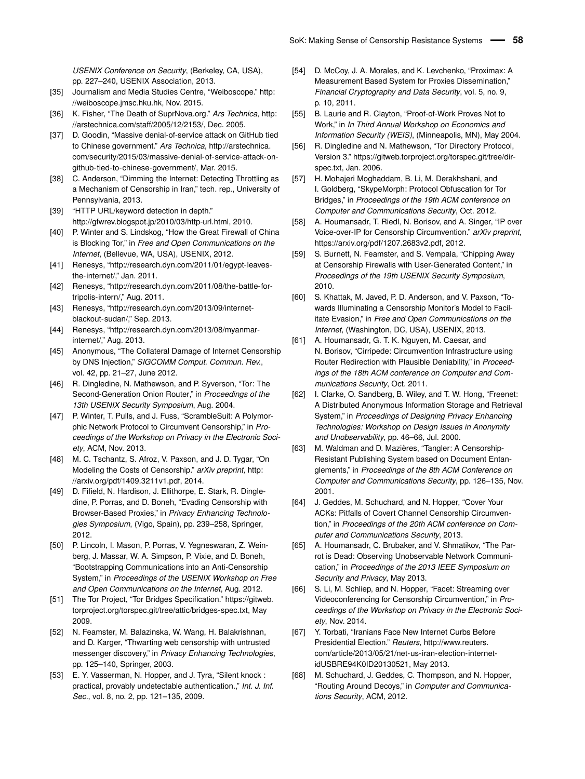<span id="page-21-18"></span><span id="page-21-17"></span>*USENIX Conference on Security*, (Berkeley, CA, USA), pp. 227–240, USENIX Association, 2013.

- <span id="page-21-0"></span>[35] Journalism and Media Studies Centre, "Weiboscope." [http:](http://weiboscope.jmsc.hku.hk) [//weiboscope.jmsc.hku.hk,](http://weiboscope.jmsc.hku.hk) Nov. 2015.
- <span id="page-21-1"></span>[36] K. Fisher, "The Death of SuprNova.org." *Ars Technica*, [http:](http://arstechnica.com/staff/2005/12/2153/) [//arstechnica.com/staff/2005/12/2153/,](http://arstechnica.com/staff/2005/12/2153/) Dec. 2005.
- <span id="page-21-2"></span>[37] D. Goodin, "Massive denial-of-service attack on GitHub tied to Chinese government." *Ars Technica*, [http://arstechnica.](http://arstechnica.com/security/2015/03/massive-denial-of-service-attack-on-github-tied-to-chinese-government/) [com/security/2015/03/massive-denial-of-service-attack-on](http://arstechnica.com/security/2015/03/massive-denial-of-service-attack-on-github-tied-to-chinese-government/)[github-tied-to-chinese-government/,](http://arstechnica.com/security/2015/03/massive-denial-of-service-attack-on-github-tied-to-chinese-government/) Mar. 2015.
- <span id="page-21-3"></span>[38] C. Anderson, "Dimming the Internet: Detecting Throttling as a Mechanism of Censorship in Iran," tech. rep., University of Pennsylvania, 2013.
- <span id="page-21-4"></span>[39] "HTTP URL/keyword detection in depth." http://gfwrev.blogspot.jp/2010/03/http-url.html, 2010.
- <span id="page-21-5"></span>[40] P. Winter and S. Lindskog, "How the Great Firewall of China is Blocking Tor," in *Free and Open Communications on the Internet*, (Bellevue, WA, USA), USENIX, 2012.
- <span id="page-21-6"></span>[41] Renesys, ["http://research.dyn.com/2011/01/egypt-leaves](http://research.dyn.com/2011/01/egypt-leaves-the-internet/)[the-internet/,](http://research.dyn.com/2011/01/egypt-leaves-the-internet/)" Jan. 2011.
- <span id="page-21-7"></span>[42] Renesys, ["http://research.dyn.com/2011/08/the-battle-for](http://research.dyn.com/2011/08/the-battle-for-tripolis-intern/)[tripolis-intern/,](http://research.dyn.com/2011/08/the-battle-for-tripolis-intern/)" Aug. 2011.
- <span id="page-21-8"></span>[43] Renesys, ["http://research.dyn.com/2013/09/internet](http://research.dyn.com/2013/09/internet-blackout-sudan/)[blackout-sudan/,](http://research.dyn.com/2013/09/internet-blackout-sudan/)" Sep. 2013.
- <span id="page-21-9"></span>[44] Renesys, ["http://research.dyn.com/2013/08/myanmar](http://research.dyn.com/2013/08/myanmar-internet/)[internet/,](http://research.dyn.com/2013/08/myanmar-internet/)" Aug. 2013.
- <span id="page-21-10"></span>[45] Anonymous, "The Collateral Damage of Internet Censorship by DNS Injection," *SIGCOMM Comput. Commun. Rev.*, vol. 42, pp. 21–27, June 2012.
- <span id="page-21-11"></span>[46] R. Dingledine, N. Mathewson, and P. Syverson, "Tor: The Second-Generation Onion Router," in *Proceedings of the 13th USENIX Security Symposium*, Aug. 2004.
- <span id="page-21-12"></span>[47] P. Winter, T. Pulls, and J. Fuss, "ScrambleSuit: A Polymorphic Network Protocol to Circumvent Censorship," in *Proceedings of the Workshop on Privacy in the Electronic Society*, ACM, Nov. 2013.
- <span id="page-21-13"></span>[48] M. C. Tschantz, S. Afroz, V. Paxson, and J. D. Tygar, "On Modeling the Costs of Censorship." *arXiv preprint,* [http:](http://arxiv.org/pdf/1409.3211v1.pdf) [//arxiv.org/pdf/1409.3211v1.pdf,](http://arxiv.org/pdf/1409.3211v1.pdf) 2014.
- <span id="page-21-35"></span>[49] D. Fifield, N. Hardison, J. Ellithorpe, E. Stark, R. Dingledine, P. Porras, and D. Boneh, "Evading Censorship with Browser-Based Proxies," in *Privacy Enhancing Technologies Symposium*, (Vigo, Spain), pp. 239–258, Springer, 2012.
- [50] P. Lincoln, I. Mason, P. Porras, V. Yegneswaran, Z. Weinberg, J. Massar, W. A. Simpson, P. Vixie, and D. Boneh, "Bootstrapping Communications into an Anti-Censorship System," in *Proceedings of the USENIX Workshop on Free and Open Communications on the Internet*, Aug. 2012.
- [51] The Tor Project, "Tor Bridges Specification." [https://gitweb.](https://gitweb.torproject.org/torspec.git/tree/attic/bridges-spec.txt) [torproject.org/torspec.git/tree/attic/bridges-spec.txt,](https://gitweb.torproject.org/torspec.git/tree/attic/bridges-spec.txt) May 2009.
- [52] N. Feamster, M. Balazinska, W. Wang, H. Balakrishnan, and D. Karger, "Thwarting web censorship with untrusted messenger discovery," in *Privacy Enhancing Technologies*, pp. 125–140, Springer, 2003.
- [53] E. Y. Vasserman, N. Hopper, and J. Tyra, "Silent knock : practical, provably undetectable authentication.," *Int. J. Inf. Sec.*, vol. 8, no. 2, pp. 121–135, 2009.
- <span id="page-21-19"></span><span id="page-21-16"></span><span id="page-21-15"></span><span id="page-21-14"></span>[54] D. McCoy, J. A. Morales, and K. Levchenko, "Proximax: A Measurement Based System for Proxies Dissemination," *Financial Cryptography and Data Security*, vol. 5, no. 9, p. 10, 2011.
- <span id="page-21-21"></span>[55] B. Laurie and R. Clayton, "Proof-of-Work Proves Not to Work," in *In Third Annual Workshop on Economics and Information Security (WEIS)*, (Minneapolis, MN), May 2004.
- <span id="page-21-22"></span>[56] R. Dingledine and N. Mathewson, "Tor Directory Protocol, Version 3." [https://gitweb.torproject.org/torspec.git/tree/dir](https://gitweb.torproject.org/torspec.git/tree/dir-spec.txt)[spec.txt,](https://gitweb.torproject.org/torspec.git/tree/dir-spec.txt) Jan. 2006.
- <span id="page-21-39"></span>[57] H. Mohajeri Moghaddam, B. Li, M. Derakhshani, and I. Goldberg, "SkypeMorph: Protocol Obfuscation for Tor Bridges," in *Proceedings of the 19th ACM conference on Computer and Communications Security*, Oct. 2012.
- [58] A. Houmansadr, T. Riedl, N. Borisov, and A. Singer, "IP over Voice-over-IP for Censorship Circumvention." *arXiv preprint,* [https://arxiv.org/pdf/1207.2683v2.pdf,](https://arxiv.org/pdf/1207.2683v2.pdf) 2012.
- <span id="page-21-37"></span>[59] S. Burnett, N. Feamster, and S. Vempala, "Chipping Away at Censorship Firewalls with User-Generated Content," in *Proceedings of the 19th USENIX Security Symposium*, 2010.
- <span id="page-21-40"></span><span id="page-21-30"></span><span id="page-21-29"></span><span id="page-21-28"></span><span id="page-21-26"></span><span id="page-21-25"></span>[60] S. Khattak, M. Javed, P. D. Anderson, and V. Paxson, "Towards Illuminating a Censorship Monitor's Model to Facilitate Evasion," in *Free and Open Communications on the Internet*, (Washington, DC, USA), USENIX, 2013.
- [61] A. Houmansadr, G. T. K. Nguyen, M. Caesar, and N. Borisov, "Cirripede: Circumvention Infrastructure using Router Redirection with Plausible Deniability," in *Proceedings of the 18th ACM conference on Computer and Communications Security*, Oct. 2011.
- [62] I. Clarke, O. Sandberg, B. Wiley, and T. W. Hong, "Freenet: A Distributed Anonymous Information Storage and Retrieval System," in *Proceedings of Designing Privacy Enhancing Technologies: Workshop on Design Issues in Anonymity and Unobservability*, pp. 46–66, Jul. 2000.
- <span id="page-21-36"></span>[63] M. Waldman and D. Mazières, "Tangler: A Censorship-Resistant Publishing System based on Document Entanglements," in *Proceedings of the 8th ACM Conference on Computer and Communications Security*, pp. 126–135, Nov. 2001.
- <span id="page-21-31"></span>[64] J. Geddes, M. Schuchard, and N. Hopper, "Cover Your ACKs: Pitfalls of Covert Channel Censorship Circumvention," in *Proceedings of the 20th ACM conference on Computer and Communications Security*, 2013.
- <span id="page-21-38"></span>[65] A. Houmansadr, C. Brubaker, and V. Shmatikov, "The Parrot is Dead: Observing Unobservable Network Communication," in *Proceedings of the 2013 IEEE Symposium on Security and Privacy*, May 2013.
- <span id="page-21-32"></span>[66] S. Li, M. Schliep, and N. Hopper, "Facet: Streaming over Videoconferencing for Censorship Circumvention," in *Proceedings of the Workshop on Privacy in the Electronic Society*, Nov. 2014.
- <span id="page-21-33"></span>[67] Y. Torbati, "Iranians Face New Internet Curbs Before Presidential Election." *Reuters*, [http://www.reuters.](http://www.reuters.com/article/2013/05/21/net-us-iran-election-internet-idUSBRE94K0ID20130521) [com/article/2013/05/21/net-us-iran-election-internet](http://www.reuters.com/article/2013/05/21/net-us-iran-election-internet-idUSBRE94K0ID20130521)[idUSBRE94K0ID20130521,](http://www.reuters.com/article/2013/05/21/net-us-iran-election-internet-idUSBRE94K0ID20130521) May 2013.
- <span id="page-21-34"></span>[68] M. Schuchard, J. Geddes, C. Thompson, and N. Hopper, "Routing Around Decoys," in *Computer and Communications Security*, ACM, 2012.

<span id="page-21-27"></span><span id="page-21-24"></span><span id="page-21-23"></span><span id="page-21-20"></span>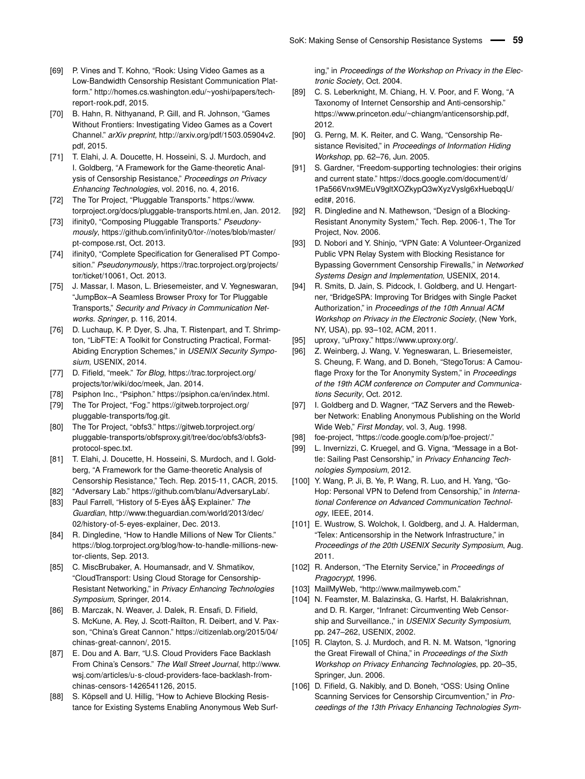- <span id="page-22-25"></span><span id="page-22-0"></span>[69] P. Vines and T. Kohno, "Rook: Using Video Games as a Low-Bandwidth Censorship Resistant Communication Platform." [http://homes.cs.washington.edu/~yoshi/papers/tech](http://homes.cs.washington.edu/~yoshi/papers/tech-report-rook.pdf)[report-rook.pdf,](http://homes.cs.washington.edu/~yoshi/papers/tech-report-rook.pdf) 2015.
- <span id="page-22-1"></span>[70] B. Hahn, R. Nithyanand, P. Gill, and R. Johnson, "Games Without Frontiers: Investigating Video Games as a Covert Channel." *arXiv preprint,* [http://arxiv.org/pdf/1503.05904v2.](http://arxiv.org/pdf/1503.05904v2.pdf) [pdf,](http://arxiv.org/pdf/1503.05904v2.pdf) 2015.
- <span id="page-22-2"></span>[71] T. Elahi, J. A. Doucette, H. Hosseini, S. J. Murdoch, and I. Goldberg, "A Framework for the Game-theoretic Analysis of Censorship Resistance," *Proceedings on Privacy Enhancing Technologies*, vol. 2016, no. 4, 2016.
- <span id="page-22-3"></span>[72] The Tor Project, "Pluggable Transports." [https://www.](https://www.torproject.org/docs/pluggable-transports.html.en) [torproject.org/docs/pluggable-transports.html.en,](https://www.torproject.org/docs/pluggable-transports.html.en) Jan. 2012.
- <span id="page-22-4"></span>[73] ifinity0, "Composing Pluggable Transports." *Pseudonymously*, [https://github.com/infinity0/tor-//notes/blob/master/](https://github.com/infinity0/tor-//notes/blob/master/pt-compose.rst) [pt-compose.rst,](https://github.com/infinity0/tor-//notes/blob/master/pt-compose.rst) Oct. 2013.
- <span id="page-22-5"></span>[74] ifinity0, "Complete Specification for Generalised PT Composition." *Pseudonymously*, [https://trac.torproject.org/projects/](https://trac.torproject.org/projects/tor/ticket/10061) [tor/ticket/10061,](https://trac.torproject.org/projects/tor/ticket/10061) Oct. 2013.
- <span id="page-22-39"></span><span id="page-22-38"></span><span id="page-22-6"></span>[75] J. Massar, I. Mason, L. Briesemeister, and V. Yegneswaran, "JumpBox–A Seamless Browser Proxy for Tor Pluggable Transports," *Security and Privacy in Communication Networks. Springer*, p. 116, 2014.
- <span id="page-22-7"></span>[76] D. Luchaup, K. P. Dyer, S. Jha, T. Ristenpart, and T. Shrimpton, "LibFTE: A Toolkit for Constructing Practical, Format-Abiding Encryption Schemes," in *USENIX Security Symposium*, USENIX, 2014.
- <span id="page-22-8"></span>[77] D. Fifield, "meek." *Tor Blog*, [https://trac.torproject.org/](https://trac.torproject.org/projects/tor/wiki/doc/meek) [projects/tor/wiki/doc/meek,](https://trac.torproject.org/projects/tor/wiki/doc/meek) Jan. 2014.
- <span id="page-22-9"></span>[78] Psiphon Inc., "Psiphon." [https://psiphon.ca/en/index.html.](https://psiphon.ca/en/index.html)
- <span id="page-22-10"></span>[79] The Tor Project, "Fog." [https://gitweb.torproject.org/](https://gitweb.torproject.org/pluggable-transports/fog.git) [pluggable-transports/fog.git.](https://gitweb.torproject.org/pluggable-transports/fog.git)
- <span id="page-22-11"></span>[80] The Tor Project, "obfs3." [https://gitweb.torproject.org/](https://gitweb.torproject.org/pluggable-transports/obfsproxy.git/tree/doc/obfs3/obfs3-protocol-spec.txt) [pluggable-transports/obfsproxy.git/tree/doc/obfs3/obfs3](https://gitweb.torproject.org/pluggable-transports/obfsproxy.git/tree/doc/obfs3/obfs3-protocol-spec.txt) [protocol-spec.txt.](https://gitweb.torproject.org/pluggable-transports/obfsproxy.git/tree/doc/obfs3/obfs3-protocol-spec.txt)
- <span id="page-22-12"></span>[81] T. Elahi, J. Doucette, H. Hosseini, S. Murdoch, and I. Goldberg, "A Framework for the Game-theoretic Analysis of Censorship Resistance," Tech. Rep. 2015-11, CACR, 2015.
- <span id="page-22-13"></span>[82] "Adversary Lab." [https://github.com/blanu/AdversaryLab/.](https://github.com/blanu/AdversaryLab/)
- <span id="page-22-14"></span>[83] Paul Farrell, "History of 5-Eyes â ÄŞ Explainer." The *Guardian*, [http://www.theguardian.com/world/2013/dec/](http://www.theguardian.com/world/2013/dec/02/history-of-5-eyes-explainer) [02/history-of-5-eyes-explainer,](http://www.theguardian.com/world/2013/dec/02/history-of-5-eyes-explainer) Dec. 2013.
- <span id="page-22-15"></span>[84] R. Dingledine, "How to Handle Millions of New Tor Clients." [https://blog.torproject.org/blog/how-to-handle-millions-new](https://blog.torproject.org/blog/how-to-handle-millions-new-tor-clients)[tor-clients,](https://blog.torproject.org/blog/how-to-handle-millions-new-tor-clients) Sep. 2013.
- <span id="page-22-16"></span>[85] C. MiscBrubaker, A. Houmansadr, and V. Shmatikov, "CloudTransport: Using Cloud Storage for Censorship-Resistant Networking," in *Privacy Enhancing Technologies Symposium*, Springer, 2014.
- <span id="page-22-17"></span>[86] B. Marczak, N. Weaver, J. Dalek, R. Ensafi, D. Fifield, S. McKune, A. Rey, J. Scott-Railton, R. Deibert, and V. Paxson, "China's Great Cannon." [https://citizenlab.org/2015/04/](https://citizenlab.org/2015/04/chinas-great-cannon/) [chinas-great-cannon/,](https://citizenlab.org/2015/04/chinas-great-cannon/) 2015.
- <span id="page-22-18"></span>[87] E. Dou and A. Barr, "U.S. Cloud Providers Face Backlash From China's Censors." *The Wall Street Journal*, [http://www.](http://www.wsj.com/articles/u-s-cloud-providers-face-backlash-from-chinas-censors-1426541126) [wsj.com/articles/u-s-cloud-providers-face-backlash-from](http://www.wsj.com/articles/u-s-cloud-providers-face-backlash-from-chinas-censors-1426541126)[chinas-censors-1426541126,](http://www.wsj.com/articles/u-s-cloud-providers-face-backlash-from-chinas-censors-1426541126) 2015.
- <span id="page-22-19"></span>[88] S. Köpsell and U. Hillig, "How to Achieve Blocking Resistance for Existing Systems Enabling Anonymous Web Surf-

<span id="page-22-44"></span><span id="page-22-43"></span><span id="page-22-42"></span><span id="page-22-41"></span><span id="page-22-36"></span>ing," in *Proceedings of the Workshop on Privacy in the Electronic Society*, Oct. 2004.

- <span id="page-22-40"></span><span id="page-22-20"></span>[89] C. S. Leberknight, M. Chiang, H. V. Poor, and F. Wong, "A Taxonomy of Internet Censorship and Anti-censorship." [https://www.princeton.edu/~chiangm/anticensorship.pdf,](https://www.princeton.edu/~chiangm/anticensorship.pdf) 2012.
- <span id="page-22-21"></span>[90] G. Perng, M. K. Reiter, and C. Wang, "Censorship Resistance Revisited," in *Proceedings of Information Hiding Workshop*, pp. 62–76, Jun. 2005.
- <span id="page-22-22"></span>[91] S. Gardner, "Freedom-supporting technologies: their origins and current state." [https://docs.google.com/document/d/](https://docs.google.com/document/d/1Pa566Vnx9MEuV9gltXOZkypQ3wXyzVyslg6xHuebqqU/edit#) [1Pa566Vnx9MEuV9gltXOZkypQ3wXyzVyslg6xHuebqqU/](https://docs.google.com/document/d/1Pa566Vnx9MEuV9gltXOZkypQ3wXyzVyslg6xHuebqqU/edit#) [edit#,](https://docs.google.com/document/d/1Pa566Vnx9MEuV9gltXOZkypQ3wXyzVyslg6xHuebqqU/edit#) 2016.
- [92] R. Dingledine and N. Mathewson, "Design of a Blocking-Resistant Anonymity System," Tech. Rep. 2006-1, The Tor Project, Nov. 2006.
- [93] D. Nobori and Y. Shinjo, "VPN Gate: A Volunteer-Organized Public VPN Relay System with Blocking Resistance for Bypassing Government Censorship Firewalls," in *Networked Systems Design and Implementation*, USENIX, 2014.
- <span id="page-22-37"></span><span id="page-22-35"></span><span id="page-22-34"></span><span id="page-22-33"></span><span id="page-22-32"></span><span id="page-22-31"></span><span id="page-22-30"></span><span id="page-22-29"></span><span id="page-22-28"></span><span id="page-22-27"></span><span id="page-22-26"></span><span id="page-22-24"></span><span id="page-22-23"></span>[94] R. Smits, D. Jain, S. Pidcock, I. Goldberg, and U. Hengartner, "BridgeSPA: Improving Tor Bridges with Single Packet Authorization," in *Proceedings of the 10th Annual ACM Workshop on Privacy in the Electronic Society*, (New York, NY, USA), pp. 93–102, ACM, 2011.
- [95] uproxy, "uProxy." [https://www.uproxy.org/.](https://www.uproxy.org/)
- [96] Z. Weinberg, J. Wang, V. Yegneswaran, L. Briesemeister, S. Cheung, F. Wang, and D. Boneh, "StegoTorus: A Camouflage Proxy for the Tor Anonymity System," in *Proceedings of the 19th ACM conference on Computer and Communications Security*, Oct. 2012.
- [97] I. Goldberg and D. Wagner, "TAZ Servers and the Rewebber Network: Enabling Anonymous Publishing on the World Wide Web," *First Monday*, vol. 3, Aug. 1998.
- [98] foe-project, ["https://code.google.com/p/foe-project/.](https://code.google.com/p/foe-project/)"
- [99] L. Invernizzi, C. Kruegel, and G. Vigna, "Message in a Bottle: Sailing Past Censorship," in *Privacy Enhancing Technologies Symposium*, 2012.
- [100] Y. Wang, P. Ji, B. Ye, P. Wang, R. Luo, and H. Yang, "Go-Hop: Personal VPN to Defend from Censorship," in *International Conference on Advanced Communication Technology*, IEEE, 2014.
- [101] E. Wustrow, S. Wolchok, I. Goldberg, and J. A. Halderman, "Telex: Anticensorship in the Network Infrastructure," in *Proceedings of the 20th USENIX Security Symposium*, Aug. 2011.
- [102] R. Anderson, "The Eternity Service," in *Proceedings of Pragocrypt*, 1996.
- [103] MailMyWeb, ["http://www.mailmyweb.com.](http://www.mailmyweb.com)"
- [104] N. Feamster, M. Balazinska, G. Harfst, H. Balakrishnan, and D. R. Karger, "Infranet: Circumventing Web Censorship and Surveillance.," in *USENIX Security Symposium*, pp. 247–262, USENIX, 2002.
- [105] R. Clayton, S. J. Murdoch, and R. N. M. Watson, "Ignoring the Great Firewall of China," in *Proceedings of the Sixth Workshop on Privacy Enhancing Technologies*, pp. 20–35, Springer, Jun. 2006.
- [106] D. Fifield, G. Nakibly, and D. Boneh, "OSS: Using Online Scanning Services for Censorship Circumvention," in *Proceedings of the 13th Privacy Enhancing Technologies Sym-*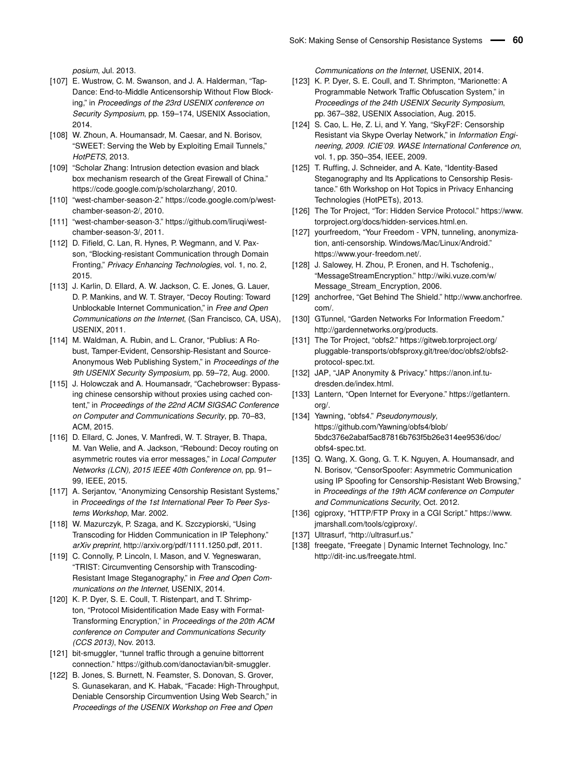<span id="page-23-14"></span><span id="page-23-13"></span>*posium*, Jul. 2013.

- [107] E. Wustrow, C. M. Swanson, and J. A. Halderman, "Tap-Dance: End-to-Middle Anticensorship Without Flow Blocking," in *Proceedings of the 23rd USENIX conference on Security Symposium*, pp. 159–174, USENIX Association, 2014.
- [108] W. Zhoun, A. Houmansadr, M. Caesar, and N. Borisov, "SWEET: Serving the Web by Exploiting Email Tunnels," *HotPETS*, 2013.
- [109] "Scholar Zhang: Intrusion detection evasion and black box mechanism research of the Great Firewall of China." https://code.google.com/p/scholarzhang/, 2010.
- [110] "west-chamber-season-2." https://code.google.com/p/westchamber-season-2/, 2010.
- [111] "west-chamber-season-3." https://github.com/liruqi/westchamber-season-3/, 2011.
- [112] D. Fifield, C. Lan, R. Hynes, P. Wegmann, and V. Paxson, "Blocking-resistant Communication through Domain Fronting," *Privacy Enhancing Technologies*, vol. 1, no. 2, 2015.
- [113] J. Karlin, D. Ellard, A. W. Jackson, C. E. Jones, G. Lauer, D. P. Mankins, and W. T. Strayer, "Decoy Routing: Toward Unblockable Internet Communication," in *Free and Open Communications on the Internet*, (San Francisco, CA, USA), USENIX, 2011.
- [114] M. Waldman, A. Rubin, and L. Cranor, "Publius: A Robust, Tamper-Evident, Censorship-Resistant and Source-Anonymous Web Publishing System," in *Proceedings of the 9th USENIX Security Symposium*, pp. 59–72, Aug. 2000.
- [115] J. Holowczak and A. Houmansadr, "Cachebrowser: Bypassing chinese censorship without proxies using cached content," in *Proceedings of the 22nd ACM SIGSAC Conference on Computer and Communications Security*, pp. 70–83, ACM, 2015.
- [116] D. Ellard, C. Jones, V. Manfredi, W. T. Strayer, B. Thapa, M. Van Welie, and A. Jackson, "Rebound: Decoy routing on asymmetric routes via error messages," in *Local Computer Networks (LCN), 2015 IEEE 40th Conference on*, pp. 91– 99, IEEE, 2015.
- [117] A. Serjantov, "Anonymizing Censorship Resistant Systems," in *Proceedings of the 1st International Peer To Peer Systems Workshop*, Mar. 2002.
- [118] W. Mazurczyk, P. Szaga, and K. Szczypiorski, "Using Transcoding for Hidden Communication in IP Telephony." *arXiv preprint,* [http://arxiv.org/pdf/1111.1250.pdf,](http://arxiv.org/pdf/1111.1250.pdf) 2011.
- [119] C. Connolly, P. Lincoln, I. Mason, and V. Yegneswaran, "TRIST: Circumventing Censorship with Transcoding-Resistant Image Steganography," in *Free and Open Communications on the Internet*, USENIX, 2014.
- [120] K. P. Dyer, S. E. Coull, T. Ristenpart, and T. Shrimpton, "Protocol Misidentification Made Easy with Format-Transforming Encryption," in *Proceedings of the 20th ACM conference on Computer and Communications Security (CCS 2013)*, Nov. 2013.
- [121] bit-smuggler, "tunnel traffic through a genuine bittorrent connection." [https://github.com/danoctavian/bit-smuggler.](https://github.com/danoctavian/bit-smuggler)
- [122] B. Jones, S. Burnett, N. Feamster, S. Donovan, S. Grover, S. Gunasekaran, and K. Habak, "Facade: High-Throughput, Deniable Censorship Circumvention Using Web Search," in *Proceedings of the USENIX Workshop on Free and Open*

<span id="page-23-9"></span><span id="page-23-8"></span><span id="page-23-7"></span><span id="page-23-6"></span><span id="page-23-5"></span><span id="page-23-4"></span><span id="page-23-3"></span><span id="page-23-2"></span><span id="page-23-1"></span><span id="page-23-0"></span>*Communications on the Internet*, USENIX, 2014.

- <span id="page-23-12"></span><span id="page-23-11"></span><span id="page-23-10"></span>[123] K. P. Dyer, S. E. Coull, and T. Shrimpton, "Marionette: A Programmable Network Traffic Obfuscation System," in *Proceedings of the 24th USENIX Security Symposium*, pp. 367–382, USENIX Association, Aug. 2015.
- [124] S. Cao, L. He, Z. Li, and Y. Yang, "SkyF2F: Censorship Resistant via Skype Overlay Network," in *Information Engineering, 2009. ICIE'09. WASE International Conference on*, vol. 1, pp. 350–354, IEEE, 2009.
- [125] T. Ruffing, J. Schneider, and A. Kate, "Identity-Based Steganography and Its Applications to Censorship Resistance." 6th Workshop on Hot Topics in Privacy Enhancing Technologies (HotPETs), 2013.
- [126] The Tor Project, "Tor: Hidden Service Protocol." [https://www.](https://www.torproject.org/docs/hidden-services.html.en) [torproject.org/docs/hidden-services.html.en.](https://www.torproject.org/docs/hidden-services.html.en)
- [127] yourfreedom, "Your Freedom VPN, tunneling, anonymization, anti-censorship. Windows/Mac/Linux/Android." [https://www.your-freedom.net/.](https://www.your-freedom.net/)
- [128] J. Salowey, H. Zhou, P. Eronen, and H. Tschofenig., ["MessageStreamEncryption.](Message Stream Encryption)" [http://wiki.vuze.com/w/](http://wiki.vuze.com/w/Message_Stream_Encryption) [Message\\_Stream\\_Encryption,](http://wiki.vuze.com/w/Message_Stream_Encryption) 2006.
- <span id="page-23-30"></span><span id="page-23-29"></span><span id="page-23-28"></span><span id="page-23-27"></span><span id="page-23-26"></span><span id="page-23-25"></span><span id="page-23-24"></span><span id="page-23-23"></span><span id="page-23-22"></span><span id="page-23-21"></span><span id="page-23-20"></span><span id="page-23-19"></span><span id="page-23-18"></span><span id="page-23-17"></span><span id="page-23-16"></span><span id="page-23-15"></span>[129] anchorfree, "Get Behind The Shield." [http://www.anchorfree.](http://www.anchorfree.com/) [com/.](http://www.anchorfree.com/)
- [130] GTunnel, "Garden Networks For Information Freedom." [http://gardennetworks.org/products.](http://gardennetworks.org/products)
- [131] The Tor Project, "obfs2." [https://gitweb.torproject.org/](https://gitweb.torproject.org/pluggable-transports/obfsproxy.git/tree/doc/obfs2/obfs2-protocol-spec.txt) [pluggable-transports/obfsproxy.git/tree/doc/obfs2/obfs2](https://gitweb.torproject.org/pluggable-transports/obfsproxy.git/tree/doc/obfs2/obfs2-protocol-spec.txt) [protocol-spec.txt.](https://gitweb.torproject.org/pluggable-transports/obfsproxy.git/tree/doc/obfs2/obfs2-protocol-spec.txt)
- [132] JAP, "JAP Anonymity & Privacy." [https://anon.inf.tu](https://anon.inf.tu-dresden.de/index.html)[dresden.de/index.html.](https://anon.inf.tu-dresden.de/index.html)
- [133] Lantern, "Open Internet for Everyone." [https://getlantern.](https://getlantern.org/) [org/.](https://getlantern.org/)
- [134] Yawning, "obfs4." *Pseudonymously*, [https://github.com/Yawning/obfs4/blob/](https://github.com/Yawning/obfs4/blob/5bdc376e2abaf5ac87816b763f5b26e314ee9536/doc/obfs4-spec.txt) [5bdc376e2abaf5ac87816b763f5b26e314ee9536/doc/](https://github.com/Yawning/obfs4/blob/5bdc376e2abaf5ac87816b763f5b26e314ee9536/doc/obfs4-spec.txt) [obfs4-spec.txt.](https://github.com/Yawning/obfs4/blob/5bdc376e2abaf5ac87816b763f5b26e314ee9536/doc/obfs4-spec.txt)
- [135] Q. Wang, X. Gong, G. T. K. Nguyen, A. Houmansadr, and N. Borisov, "CensorSpoofer: Asymmetric Communication using IP Spoofing for Censorship-Resistant Web Browsing," in *Proceedings of the 19th ACM conference on Computer and Communications Security*, Oct. 2012.
- [136] cgiproxy, "HTTP/FTP Proxy in a CGI Script." [https://www.](https://www.jmarshall.com/tools/cgiproxy/) [jmarshall.com/tools/cgiproxy/.](https://www.jmarshall.com/tools/cgiproxy/)
- [137] Ultrasurf, ["http://ultrasurf.us.](http://ultrasurf.us)"
- [138] freegate, "Freegate | Dynamic Internet Technology, Inc." [http://dit-inc.us/freegate.html.](http://dit-inc.us/freegate.html)